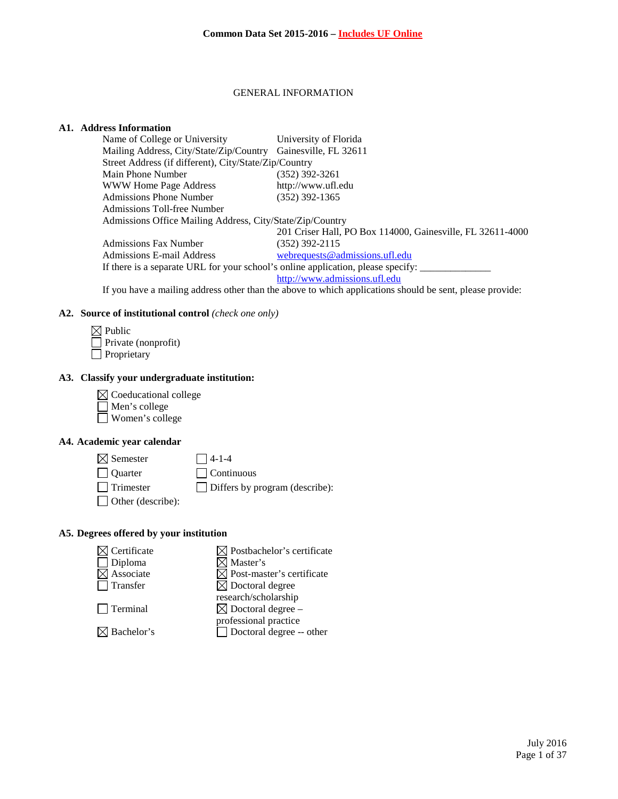#### GENERAL INFORMATION

### **A1. Address Information**

| Name of College or University                                                    | University of Florida                                      |
|----------------------------------------------------------------------------------|------------------------------------------------------------|
| Mailing Address, City/State/Zip/Country Gainesville, FL 32611                    |                                                            |
| Street Address (if different), City/State/Zip/Country                            |                                                            |
| Main Phone Number                                                                | $(352)$ 392-3261                                           |
| <b>WWW Home Page Address</b>                                                     | http://www.ufl.edu                                         |
| <b>Admissions Phone Number</b>                                                   | $(352)$ 392-1365                                           |
| Admissions Toll-free Number                                                      |                                                            |
| Admissions Office Mailing Address, City/State/Zip/Country                        |                                                            |
|                                                                                  | 201 Criser Hall, PO Box 114000, Gainesville, FL 32611-4000 |
| <b>Admissions Fax Number</b>                                                     | $(352)$ 392-2115                                           |
| Admissions E-mail Address                                                        | webrequests@admissions.ufl.edu                             |
| If there is a separate URL for your school's online application, please specify: |                                                            |
|                                                                                  | http://www.admissions.ufl.edu                              |

If you have a mailing address other than the above to which applications should be sent, please provide:

## **A2. Source of institutional control** *(check one only)*

| $\boxtimes$ Public         |
|----------------------------|
| $\Box$ Private (nonprofit) |
| $\Box$ Proprietary         |

## **A3. Classify your undergraduate institution:**

 $\boxtimes$  Coeducational college Men's college Women's college

# **A4. Academic year calendar**

 $\boxtimes$  Semester  $\Box$  4-1-4 Quarter Continuous

Trimester Differs by program (describe):

Other (describe):

# **A5. Degrees offered by your institution**

| Certificate          | $\boxtimes$ Postbachelor's certificate                     |
|----------------------|------------------------------------------------------------|
| Diploma<br>Associate | <b>Z</b> Master's<br>$\boxtimes$ Post-master's certificate |
| Transfer             | $\boxtimes$ Doctoral degree<br>research/scholarship        |
| $\Box$ Terminal      | $\boxtimes$ Doctoral degree –<br>professional practice     |
| Bachelor's           | $\Box$ Doctoral degree -- other                            |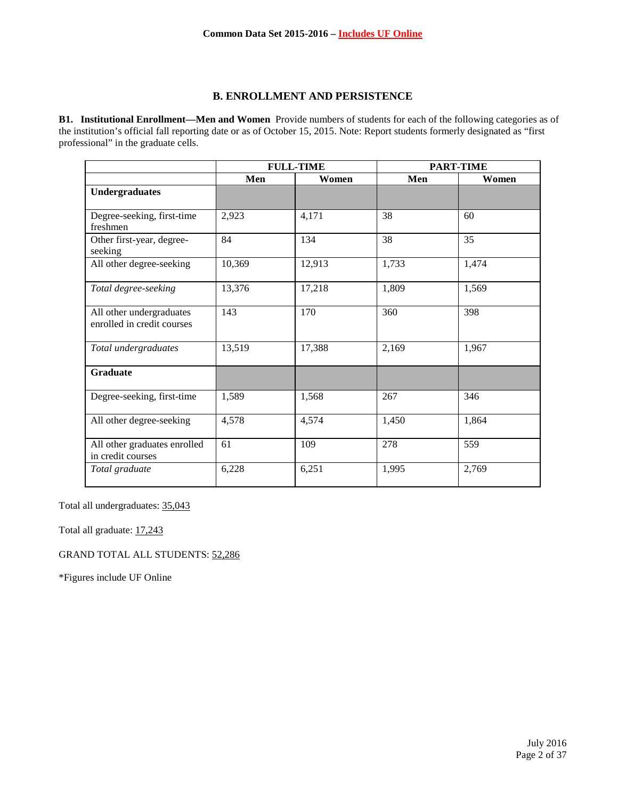# **B. ENROLLMENT AND PERSISTENCE**

**B1. Institutional Enrollment—Men and Women** Provide numbers of students for each of the following categories as of the institution's official fall reporting date or as of October 15, 2015. Note: Report students formerly designated as "first professional" in the graduate cells.

|                                                        | <b>FULL-TIME</b> |        | <b>PART-TIME</b> |       |
|--------------------------------------------------------|------------------|--------|------------------|-------|
|                                                        | Men              | Women  | Men              | Women |
| <b>Undergraduates</b>                                  |                  |        |                  |       |
|                                                        |                  |        |                  |       |
| Degree-seeking, first-time<br>freshmen                 | 2,923            | 4,171  | 38               | 60    |
| Other first-year, degree-<br>seeking                   | 84               | 134    | 38               | 35    |
| All other degree-seeking                               | 10,369           | 12,913 | 1,733            | 1,474 |
| Total degree-seeking                                   | 13,376           | 17,218 | 1,809            | 1,569 |
| All other undergraduates<br>enrolled in credit courses | 143              | 170    | 360              | 398   |
| Total undergraduates                                   | 13,519           | 17,388 | 2,169            | 1,967 |
| <b>Graduate</b>                                        |                  |        |                  |       |
| Degree-seeking, first-time                             | 1,589            | 1,568  | 267              | 346   |
| All other degree-seeking                               | 4,578            | 4,574  | 1,450            | 1,864 |
| All other graduates enrolled<br>in credit courses      | 61               | 109    | 278              | 559   |
| Total graduate                                         | 6,228            | 6,251  | 1,995            | 2,769 |

Total all undergraduates: 35,043

Total all graduate:  $17,243$ 

GRAND TOTAL ALL STUDENTS: 52,286

\*Figures include UF Online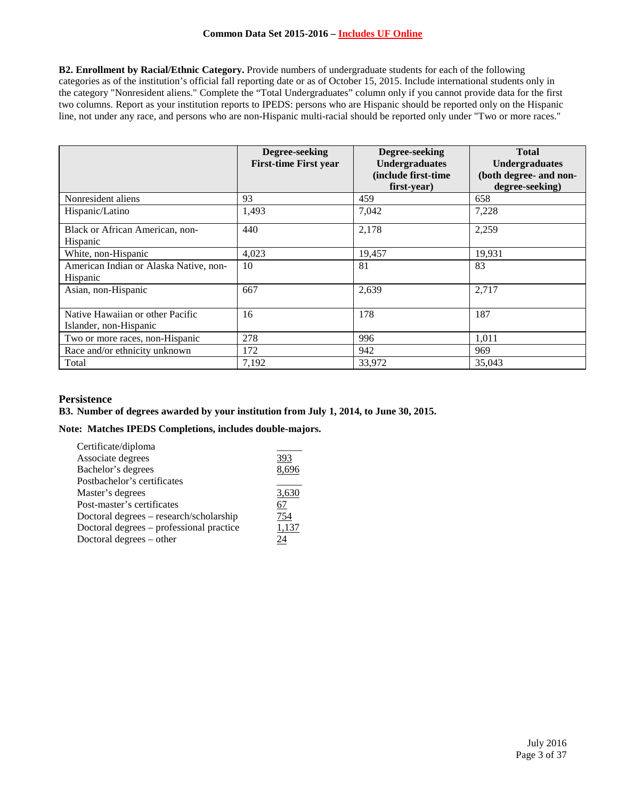**B2. Enrollment by Racial/Ethnic Category.** Provide numbers of undergraduate students for each of the following categories as of the institution's official fall reporting date or as of October 15, 2015. Include international students only in the category "Nonresident aliens." Complete the "Total Undergraduates" column only if you cannot provide data for the first two columns. Report as your institution reports to IPEDS: persons who are Hispanic should be reported only on the Hispanic line, not under any race, and persons who are non-Hispanic multi-racial should be reported only under "Two or more races."

|                                                            | Degree-seeking<br><b>First-time First year</b> | Degree-seeking<br><b>Undergraduates</b><br>(include first-time<br>first-year) | <b>Total</b><br><b>Undergraduates</b><br>(both degree- and non-<br>degree-seeking) |
|------------------------------------------------------------|------------------------------------------------|-------------------------------------------------------------------------------|------------------------------------------------------------------------------------|
| Nonresident aliens                                         | 93                                             | 459                                                                           | 658                                                                                |
| Hispanic/Latino                                            | 1,493                                          | 7,042                                                                         | 7,228                                                                              |
| Black or African American, non-<br>Hispanic                | 440                                            | 2,178                                                                         | 2,259                                                                              |
| White, non-Hispanic                                        | 4,023                                          | 19,457                                                                        | 19,931                                                                             |
| American Indian or Alaska Native, non-<br>Hispanic         | 10                                             | 81                                                                            | 83                                                                                 |
| Asian, non-Hispanic                                        | 667                                            | 2,639                                                                         | 2,717                                                                              |
| Native Hawaiian or other Pacific<br>Islander, non-Hispanic | 16                                             | 178                                                                           | 187                                                                                |
| Two or more races, non-Hispanic                            | 278                                            | 996                                                                           | 1,011                                                                              |
| Race and/or ethnicity unknown                              | 172                                            | 942                                                                           | 969                                                                                |
| Total                                                      | 7.192                                          | 33,972                                                                        | 35,043                                                                             |

# **Persistence**

## **B3. Number of degrees awarded by your institution from July 1, 2014, to June 30, 2015.**

## **Note: Matches IPEDS Completions, includes double-majors.**

| Certificate/diploma                      |       |
|------------------------------------------|-------|
| Associate degrees                        | 393   |
| Bachelor's degrees                       | 8,696 |
| Postbachelor's certificates              |       |
| Master's degrees                         | 3,630 |
| Post-master's certificates               | 67    |
| Doctoral degrees - research/scholarship  | 754   |
| Doctoral degrees – professional practice | 1,137 |
| Doctoral degrees – other                 | 24    |
|                                          |       |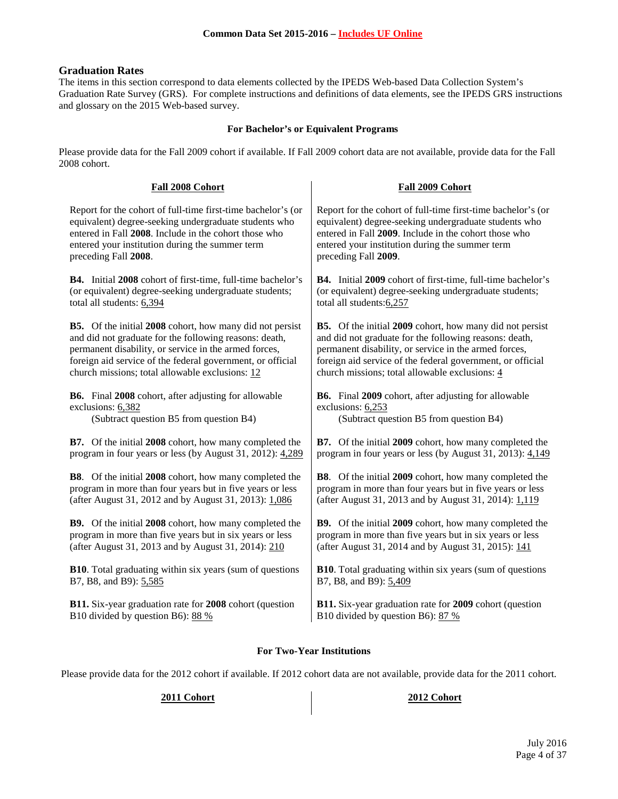## **Graduation Rates**

The items in this section correspond to data elements collected by the IPEDS Web-based Data Collection System's Graduation Rate Survey (GRS). For complete instructions and definitions of data elements, see the IPEDS GRS instructions and glossary on the 2015 Web-based survey.

### **For Bachelor's or Equivalent Programs**

Please provide data for the Fall 2009 cohort if available. If Fall 2009 cohort data are not available, provide data for the Fall 2008 cohort.

| Fall 2008 Cohort                                                | Fall 2009 Cohort                                                |
|-----------------------------------------------------------------|-----------------------------------------------------------------|
| Report for the cohort of full-time first-time bachelor's (or    | Report for the cohort of full-time first-time bachelor's (or    |
| equivalent) degree-seeking undergraduate students who           | equivalent) degree-seeking undergraduate students who           |
| entered in Fall 2008. Include in the cohort those who           | entered in Fall 2009. Include in the cohort those who           |
| entered your institution during the summer term                 | entered your institution during the summer term                 |
| preceding Fall 2008.                                            | preceding Fall 2009.                                            |
| B4. Initial 2008 cohort of first-time, full-time bachelor's     | B4. Initial 2009 cohort of first-time, full-time bachelor's     |
| (or equivalent) degree-seeking undergraduate students;          | (or equivalent) degree-seeking undergraduate students;          |
| total all students: 6,394                                       | total all students: 6,257                                       |
| <b>B5.</b> Of the initial 2008 cohort, how many did not persist | <b>B5.</b> Of the initial 2009 cohort, how many did not persist |
| and did not graduate for the following reasons: death,          | and did not graduate for the following reasons: death,          |
| permanent disability, or service in the armed forces,           | permanent disability, or service in the armed forces,           |
| foreign aid service of the federal government, or official      | foreign aid service of the federal government, or official      |
| church missions; total allowable exclusions: 12                 | church missions; total allowable exclusions: 4                  |
| <b>B6.</b> Final 2008 cohort, after adjusting for allowable     | <b>B6.</b> Final 2009 cohort, after adjusting for allowable     |
| exclusions: 6,382                                               | exclusions: 6,253                                               |
| (Subtract question B5 from question B4)                         | (Subtract question B5 from question B4)                         |
| <b>B7.</b> Of the initial 2008 cohort, how many completed the   | <b>B7.</b> Of the initial 2009 cohort, how many completed the   |
| program in four years or less (by August 31, 2012): 4,289       | program in four years or less (by August 31, 2013): 4,149       |
| <b>B8</b> . Of the initial 2008 cohort, how many completed the  | <b>B8</b> . Of the initial 2009 cohort, how many completed the  |
| program in more than four years but in five years or less       | program in more than four years but in five years or less       |
| (after August 31, 2012 and by August 31, 2013): 1,086           | (after August 31, 2013 and by August 31, 2014): 1,119           |
| B9. Of the initial 2008 cohort, how many completed the          | B9. Of the initial 2009 cohort, how many completed the          |
| program in more than five years but in six years or less        | program in more than five years but in six years or less        |
| (after August 31, 2013 and by August 31, 2014): 210             | (after August 31, 2014 and by August 31, 2015): 141             |
| <b>B10.</b> Total graduating within six years (sum of questions | <b>B10.</b> Total graduating within six years (sum of questions |
| B7, B8, and B9): 5,585                                          | B7, B8, and B9): 5,409                                          |
| B11. Six-year graduation rate for 2008 cohort (question         | B11. Six-year graduation rate for 2009 cohort (question         |
| B10 divided by question B6): 88 %                               | B10 divided by question B6): 87 %                               |

## **For Two-Year Institutions**

Please provide data for the 2012 cohort if available. If 2012 cohort data are not available, provide data for the 2011 cohort.

## **2011 Cohort 2012 Cohort**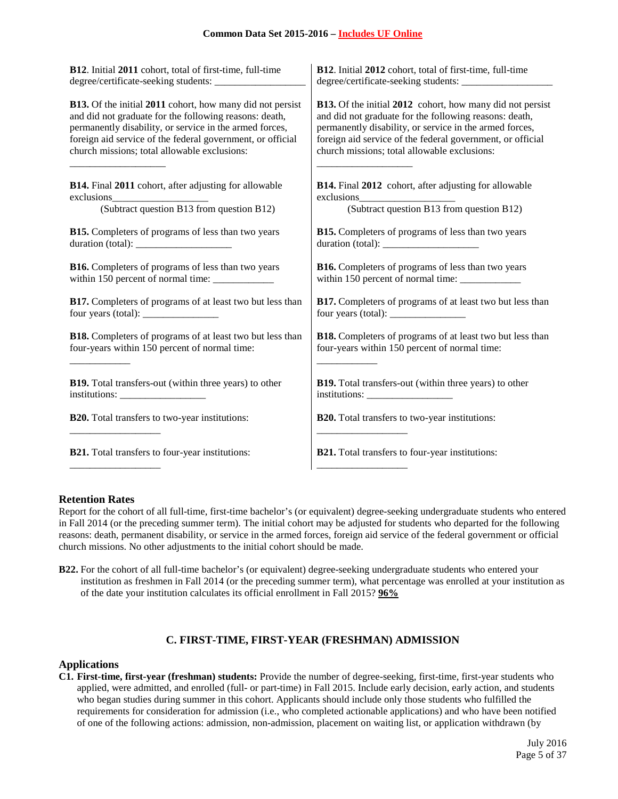| B12. Initial 2011 cohort, total of first-time, full-time                                                                                                                                                                                                                                                                                                                                                          | B12. Initial 2012 cohort, total of first-time, full-time         |
|-------------------------------------------------------------------------------------------------------------------------------------------------------------------------------------------------------------------------------------------------------------------------------------------------------------------------------------------------------------------------------------------------------------------|------------------------------------------------------------------|
| degree/certificate-seeking students: _______________                                                                                                                                                                                                                                                                                                                                                              |                                                                  |
| B13. Of the initial 2011 cohort, how many did not persist                                                                                                                                                                                                                                                                                                                                                         | <b>B13.</b> Of the initial 2012 cohort, how many did not persist |
| and did not graduate for the following reasons: death,                                                                                                                                                                                                                                                                                                                                                            | and did not graduate for the following reasons: death,           |
| permanently disability, or service in the armed forces,                                                                                                                                                                                                                                                                                                                                                           | permanently disability, or service in the armed forces,          |
| foreign aid service of the federal government, or official                                                                                                                                                                                                                                                                                                                                                        | foreign aid service of the federal government, or official       |
| church missions; total allowable exclusions:                                                                                                                                                                                                                                                                                                                                                                      | church missions; total allowable exclusions:                     |
| <b>B14.</b> Final 2011 cohort, after adjusting for allowable                                                                                                                                                                                                                                                                                                                                                      | <b>B14.</b> Final 2012 cohort, after adjusting for allowable     |
| exclusions                                                                                                                                                                                                                                                                                                                                                                                                        | exclusions                                                       |
| (Subtract question B13 from question B12)                                                                                                                                                                                                                                                                                                                                                                         | (Subtract question B13 from question B12)                        |
| B15. Completers of programs of less than two years                                                                                                                                                                                                                                                                                                                                                                | <b>B15.</b> Completers of programs of less than two years        |
| duration (total): $\frac{1}{\sqrt{1-\frac{1}{\sqrt{1-\frac{1}{\sqrt{1-\frac{1}{\sqrt{1-\frac{1}{\sqrt{1-\frac{1}{\sqrt{1-\frac{1}{\sqrt{1-\frac{1}{\sqrt{1-\frac{1}{\sqrt{1-\frac{1}{\sqrt{1-\frac{1}{\sqrt{1-\frac{1}{\sqrt{1-\frac{1}{\sqrt{1-\frac{1}{\sqrt{1-\frac{1}{\sqrt{1-\frac{1}{\sqrt{1-\frac{1}{\sqrt{1-\frac{1}{\sqrt{1-\frac{1}{\sqrt{1-\frac{1}{\sqrt{1-\frac{1}{\sqrt{1-\frac{1}{\sqrt{1-\frac{1$ |                                                                  |
| <b>B16.</b> Completers of programs of less than two years                                                                                                                                                                                                                                                                                                                                                         | <b>B16.</b> Completers of programs of less than two years        |
| within 150 percent of normal time: ____________                                                                                                                                                                                                                                                                                                                                                                   | within 150 percent of normal time: ____________                  |
| <b>B17.</b> Completers of programs of at least two but less than                                                                                                                                                                                                                                                                                                                                                  | <b>B17.</b> Completers of programs of at least two but less than |
| four years (total): $\frac{1}{2}$ = $\frac{1}{2}$ = $\frac{1}{2}$ = $\frac{1}{2}$ = $\frac{1}{2}$ = $\frac{1}{2}$ = $\frac{1}{2}$ = $\frac{1}{2}$ = $\frac{1}{2}$ = $\frac{1}{2}$ = $\frac{1}{2}$ = $\frac{1}{2}$ = $\frac{1}{2}$ = $\frac{1}{2}$ = $\frac{1}{2}$ = $\frac{1}{2}$ = $\frac{1}{2}$                                                                                                                 |                                                                  |
| <b>B18.</b> Completers of programs of at least two but less than                                                                                                                                                                                                                                                                                                                                                  | <b>B18.</b> Completers of programs of at least two but less than |
| four-years within 150 percent of normal time:                                                                                                                                                                                                                                                                                                                                                                     | four-years within 150 percent of normal time:                    |
| <b>B19.</b> Total transfers-out (within three years) to other                                                                                                                                                                                                                                                                                                                                                     | <b>B19.</b> Total transfers-out (within three years) to other    |
| $\text{intstitutions:} \_\_\_\_\_\_\_\_\_\_\_\_\_\_\_\_\_\_\_\_\_\_\_\_\_\_\_\_\_\_\_\_\_\_$                                                                                                                                                                                                                                                                                                                      | $institutions: \_$                                               |
| <b>B20.</b> Total transfers to two-year institutions:                                                                                                                                                                                                                                                                                                                                                             | <b>B20.</b> Total transfers to two-year institutions:            |
| <b>B21.</b> Total transfers to four-year institutions:                                                                                                                                                                                                                                                                                                                                                            | B21. Total transfers to four-year institutions:                  |
|                                                                                                                                                                                                                                                                                                                                                                                                                   |                                                                  |

# **Retention Rates**

Report for the cohort of all full-time, first-time bachelor's (or equivalent) degree-seeking undergraduate students who entered in Fall 2014 (or the preceding summer term). The initial cohort may be adjusted for students who departed for the following reasons: death, permanent disability, or service in the armed forces, foreign aid service of the federal government or official church missions. No other adjustments to the initial cohort should be made.

**B22.** For the cohort of all full-time bachelor's (or equivalent) degree-seeking undergraduate students who entered your institution as freshmen in Fall 2014 (or the preceding summer term), what percentage was enrolled at your institution as of the date your institution calculates its official enrollment in Fall 2015? **96%**

## **C. FIRST-TIME, FIRST-YEAR (FRESHMAN) ADMISSION**

### **Applications**

**C1. First-time, first-year (freshman) students:** Provide the number of degree-seeking, first-time, first-year students who applied, were admitted, and enrolled (full- or part-time) in Fall 2015. Include early decision, early action, and students who began studies during summer in this cohort. Applicants should include only those students who fulfilled the requirements for consideration for admission (i.e., who completed actionable applications) and who have been notified of one of the following actions: admission, non-admission, placement on waiting list, or application withdrawn (by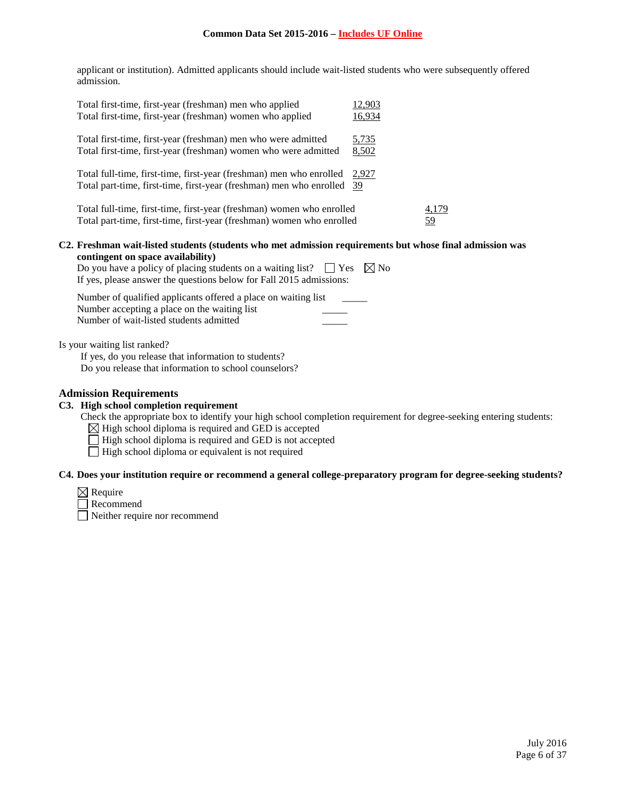applicant or institution). Admitted applicants should include wait-listed students who were subsequently offered admission.

| Total first-time, first-year (freshman) men who applied                                                                                                                                                                                                                                                                                                           | 12,903 |           |
|-------------------------------------------------------------------------------------------------------------------------------------------------------------------------------------------------------------------------------------------------------------------------------------------------------------------------------------------------------------------|--------|-----------|
| Total first-time, first-year (freshman) women who applied                                                                                                                                                                                                                                                                                                         | 16,934 |           |
| Total first-time, first-year (freshman) men who were admitted                                                                                                                                                                                                                                                                                                     | 5,735  |           |
| Total first-time, first-year (freshman) women who were admitted                                                                                                                                                                                                                                                                                                   | 8,502  |           |
| Total full-time, first-time, first-year (freshman) men who enrolled                                                                                                                                                                                                                                                                                               | 2,927  |           |
| Total part-time, first-time, first-year (freshman) men who enrolled                                                                                                                                                                                                                                                                                               | -39    |           |
| Total full-time, first-time, first-year (freshman) women who enrolled                                                                                                                                                                                                                                                                                             |        | 4,179     |
| Total part-time, first-time, first-year (freshman) women who enrolled                                                                                                                                                                                                                                                                                             |        | <u>59</u> |
| C2. Freshman wait-listed students (students who met admission requirements but whose final admission was<br>contingent on space availability)                                                                                                                                                                                                                     |        |           |
| $\mathbf{D}_{\mathbf{z}}$ and $\mathbf{b}_{\mathbf{z}}$ are $\mathbf{f}_{\mathbf{z}}$ and $\mathbf{f}_{\mathbf{z}}$ and $\mathbf{f}_{\mathbf{z}}$ are $\mathbf{f}_{\mathbf{z}}$ and $\mathbf{f}_{\mathbf{z}}$ and $\mathbf{f}_{\mathbf{z}}$ and $\mathbf{f}_{\mathbf{z}}$ and $\mathbf{f}_{\mathbf{z}}$ and $\mathbf{f}_{\mathbf{z}}$ and $\mathbf{f}_{\mathbf{z$ |        |           |

| Do you have a policy of placing students on a waiting list? $\Box$ Yes $\boxtimes$ No |  |
|---------------------------------------------------------------------------------------|--|
| If yes, please answer the questions below for Fall 2015 admissions:                   |  |

| Number of qualified applicants offered a place on waiting list |  |
|----------------------------------------------------------------|--|
| Number accepting a place on the waiting list                   |  |
| Number of wait-listed students admitted                        |  |

Is your waiting list ranked?

If yes, do you release that information to students?

Do you release that information to school counselors?

## **Admission Requirements**

## **C3. High school completion requirement**

Check the appropriate box to identify your high school completion requirement for degree-seeking entering students:

 $\boxtimes$  High school diploma is required and GED is accepted

- $\Box$  High school diploma is required and GED is not accepted
- $\Box$  High school diploma or equivalent is not required

### **C4. Does your institution require or recommend a general college-preparatory program for degree-seeking students?**

- $\boxtimes$  Require
- Recommend

Neither require nor recommend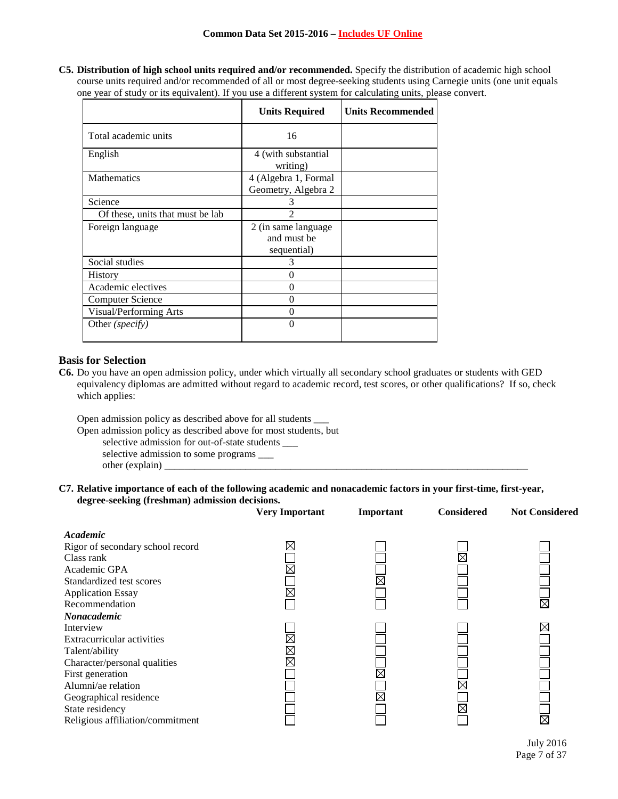**C5. Distribution of high school units required and/or recommended.** Specify the distribution of academic high school course units required and/or recommended of all or most degree-seeking students using Carnegie units (one unit equals one year of study or its equivalent). If you use a different system for calculating units, please convert.

|                                  | <b>Units Required</b>                              | <b>Units Recommended</b> |
|----------------------------------|----------------------------------------------------|--------------------------|
| Total academic units             | 16                                                 |                          |
| English                          | 4 (with substantial<br>writing)                    |                          |
| <b>Mathematics</b>               | 4 (Algebra 1, Formal<br>Geometry, Algebra 2        |                          |
| Science                          | 3                                                  |                          |
| Of these, units that must be lab |                                                    |                          |
| Foreign language                 | 2 (in same language)<br>and must be<br>sequential) |                          |
| Social studies                   | 3                                                  |                          |
| <b>History</b>                   | 0                                                  |                          |
| Academic electives               | $\theta$                                           |                          |
| <b>Computer Science</b>          | 0                                                  |                          |
| Visual/Performing Arts           | 0                                                  |                          |
| Other (specify)                  | 0                                                  |                          |

# **Basis for Selection**

**C6.** Do you have an open admission policy, under which virtually all secondary school graduates or students with GED equivalency diplomas are admitted without regard to academic record, test scores, or other qualifications? If so, check which applies:

Open admission policy as described above for all students \_\_\_

Open admission policy as described above for most students, but

selective admission for out-of-state students \_\_\_

selective admission to some programs \_\_\_

other (explain)

## **C7. Relative importance of each of the following academic and nonacademic factors in your first-time, first-year, degree-seeking (freshman) admission decisions.**

|                                  | <b>Very Important</b> | Important   | <b>Considered</b> | <b>Not Considered</b> |
|----------------------------------|-----------------------|-------------|-------------------|-----------------------|
| Academic                         |                       |             |                   |                       |
| Rigor of secondary school record | $\boxtimes$           |             |                   |                       |
| Class rank                       |                       |             |                   |                       |
| Academic GPA                     | $\boxtimes$           |             |                   |                       |
| Standardized test scores         |                       | $\boxtimes$ |                   |                       |
| <b>Application Essay</b>         | $\boxtimes$           |             |                   |                       |
| Recommendation                   |                       |             |                   | $\boxtimes$           |
| Nonacademic                      |                       |             |                   |                       |
| Interview                        |                       |             |                   | ⊠                     |
| Extracurricular activities       | $\boxtimes$           |             |                   |                       |
| Talent/ability                   | $\boxtimes$           |             |                   |                       |
| Character/personal qualities     | $\boxtimes$           |             |                   |                       |
| First generation                 |                       | $\boxtimes$ |                   |                       |
| Alumni/ae relation               |                       |             |                   |                       |
| Geographical residence           |                       | $\boxtimes$ |                   |                       |
| State residency                  |                       |             |                   |                       |
| Religious affiliation/commitment |                       |             |                   | $\boxtimes$           |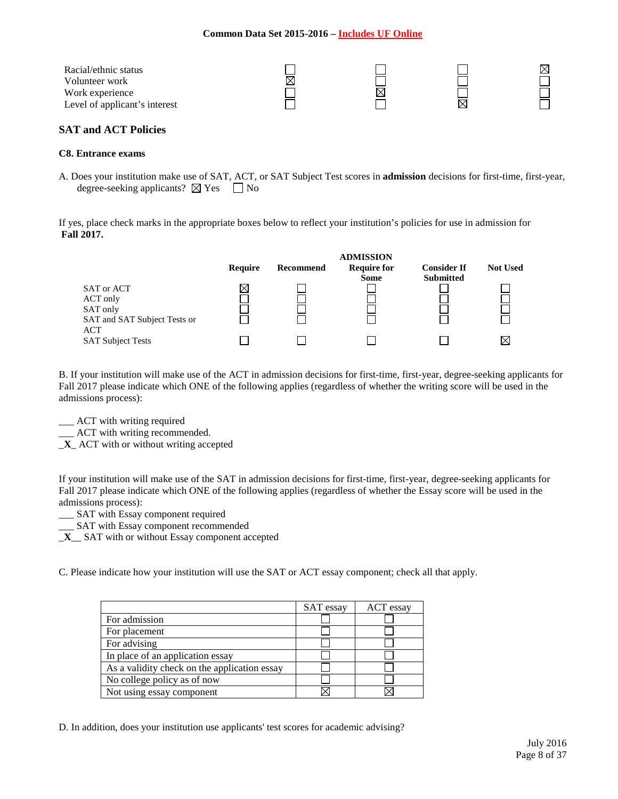| Racial/ethnic status          |   |  |  |
|-------------------------------|---|--|--|
| Volunteer work                | ⋉ |  |  |
| Work experience               |   |  |  |
| Level of applicant's interest |   |  |  |

## **SAT and ACT Policies**

#### **C8. Entrance exams**

A. Does your institution make use of SAT, ACT, or SAT Subject Test scores in **admission** decisions for first-time, first-year, degree-seeking applicants?  $\boxtimes$  Yes  $\Box$  No

If yes, place check marks in the appropriate boxes below to reflect your institution's policies for use in admission for **Fall 2017.**

|                                                                                  |         |           | <b>ADMISSION</b>                  |                                        |                 |
|----------------------------------------------------------------------------------|---------|-----------|-----------------------------------|----------------------------------------|-----------------|
|                                                                                  | Require | Recommend | <b>Require for</b><br><b>Some</b> | <b>Consider If</b><br><b>Submitted</b> | <b>Not Used</b> |
| SAT or ACT<br>ACT only<br>SAT only<br>SAT and SAT Subject Tests or<br><b>ACT</b> |         |           |                                   |                                        |                 |
| <b>SAT Subject Tests</b>                                                         |         |           |                                   |                                        | $\times$        |

B. If your institution will make use of the ACT in admission decisions for first-time, first-year, degree-seeking applicants for Fall 2017 please indicate which ONE of the following applies (regardless of whether the writing score will be used in the admissions process):

\_\_\_ ACT with writing required

\_\_\_ ACT with writing recommended.

\_**X**\_ ACT with or without writing accepted

If your institution will make use of the SAT in admission decisions for first-time, first-year, degree-seeking applicants for Fall 2017 please indicate which ONE of the following applies (regardless of whether the Essay score will be used in the admissions process):

\_\_\_ SAT with Essay component required

\_\_\_ SAT with Essay component recommended

\_**X**\_\_ SAT with or without Essay component accepted

C. Please indicate how your institution will use the SAT or ACT essay component; check all that apply.

|                                              | SAT essay | ACT essay |
|----------------------------------------------|-----------|-----------|
| For admission                                |           |           |
| For placement                                |           |           |
| For advising                                 |           |           |
| In place of an application essay             |           |           |
| As a validity check on the application essay |           |           |
| No college policy as of now                  |           |           |
| Not using essay component                    |           |           |

D. In addition, does your institution use applicants' test scores for academic advising?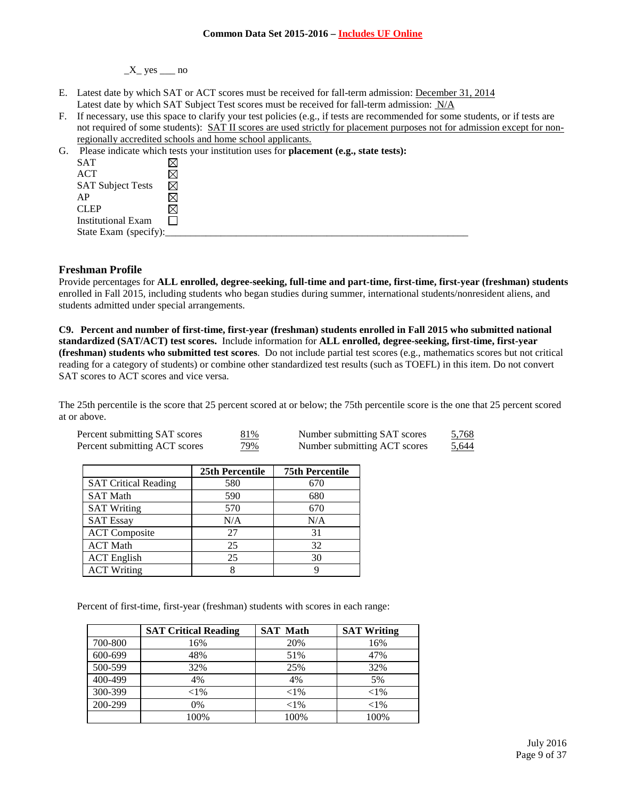$X$ <sub>\_</sub> yes  $\_\_$ no

- E. Latest date by which SAT or ACT scores must be received for fall-term admission: December 31, 2014 Latest date by which SAT Subject Test scores must be received for fall-term admission:  $N/A$
- F. If necessary, use this space to clarify your test policies (e.g., if tests are recommended for some students, or if tests are not required of some students): SAT II scores are used strictly for placement purposes not for admission except for nonregionally accredited schools and home school applicants.

| G. |                          | Please indicate which tests your institution uses for <b>placement</b> (e.g., state tests): |
|----|--------------------------|---------------------------------------------------------------------------------------------|
|    | SAT                      |                                                                                             |
|    | ACT                      |                                                                                             |
|    | <b>SAT Subject Tests</b> | ⊠                                                                                           |
|    | AP                       |                                                                                             |
|    | <b>CLEP</b>              |                                                                                             |
|    | Institutional Exam       |                                                                                             |
|    | State Exam (specify):    |                                                                                             |
|    |                          |                                                                                             |

### **Freshman Profile**

Provide percentages for **ALL enrolled, degree-seeking, full-time and part-time, first-time, first-year (freshman) students**  enrolled in Fall 2015, including students who began studies during summer, international students/nonresident aliens, and students admitted under special arrangements.

**C9. Percent and number of first-time, first-year (freshman) students enrolled in Fall 2015 who submitted national standardized (SAT/ACT) test scores.** Include information for **ALL enrolled, degree-seeking, first-time, first-year (freshman) students who submitted test scores**. Do not include partial test scores (e.g., mathematics scores but not critical reading for a category of students) or combine other standardized test results (such as TOEFL) in this item. Do not convert SAT scores to ACT scores and vice versa.

The 25th percentile is the score that 25 percent scored at or below; the 75th percentile score is the one that 25 percent scored at or above.

| Percent submitting SAT scores | 81%        | Number submitting SAT scores | 5,768 |
|-------------------------------|------------|------------------------------|-------|
| Percent submitting ACT scores | <u>79%</u> | Number submitting ACT scores | 5,644 |

|                             | 25th Percentile | <b>75th Percentile</b> |
|-----------------------------|-----------------|------------------------|
| <b>SAT Critical Reading</b> | 580             | 670                    |
| <b>SAT Math</b>             | 590             | 680                    |
| <b>SAT Writing</b>          | 570             | 670                    |
| <b>SAT Essay</b>            | N/A             | N/A                    |
| <b>ACT</b> Composite        | 27              | 31                     |
| <b>ACT Math</b>             | 25              | 32                     |
| <b>ACT</b> English          | 25              | 30                     |
| <b>ACT Writing</b>          | 8               |                        |

Percent of first-time, first-year (freshman) students with scores in each range:

|         | <b>SAT Critical Reading</b> | <b>SAT Math</b> | <b>SAT Writing</b> |
|---------|-----------------------------|-----------------|--------------------|
| 700-800 | 16%                         | 20%             | 16%                |
| 600-699 | 48%                         | 51%             | 47%                |
| 500-599 | 32%                         | 25%             | 32%                |
| 400-499 | 4%                          | 4%              | 5%                 |
| 300-399 | ${<}1\%$                    | ${<}1\%$        | ${<}1\%$           |
| 200-299 | 0%                          | ${<}1\%$        | ${<}1\%$           |
|         | 100%                        | 100%            | 100%               |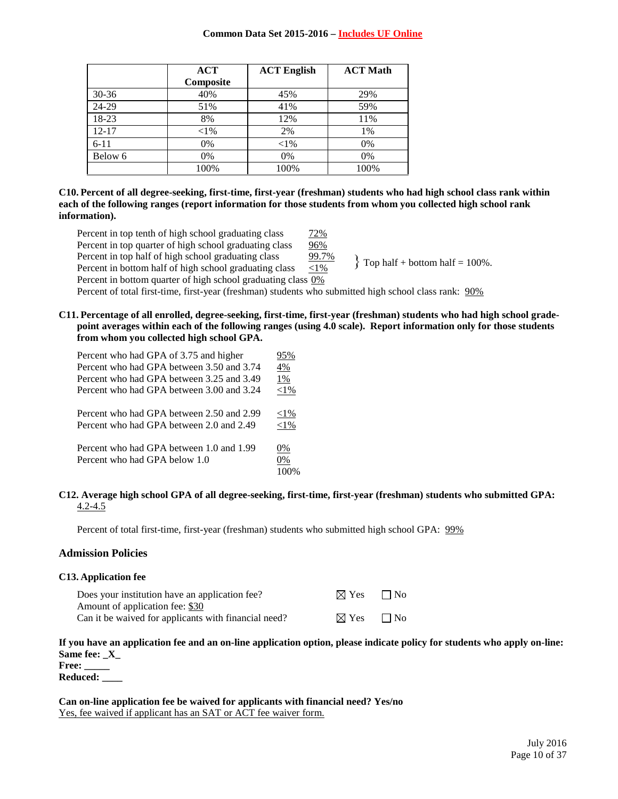|           | <b>ACT</b> | <b>ACT English</b> | <b>ACT Math</b> |
|-----------|------------|--------------------|-----------------|
|           | Composite  |                    |                 |
| $30 - 36$ | 40%        | 45%                | 29%             |
| 24-29     | 51%        | 41%                | 59%             |
| 18-23     | 8%         | 12%                | 11%             |
| $12 - 17$ | ${<}1\%$   | 2%                 | 1%              |
| $6 - 11$  | 0%         | ${<}1\%$           | 0%              |
| Below 6   | 0%         | 0%                 | 0%              |
|           | 100%       | 100%               | 100%            |

### **C10. Percent of all degree-seeking, first-time, first-year (freshman) students who had high school class rank within each of the following ranges (report information for those students from whom you collected high school rank information).**

Percent in top tenth of high school graduating class  $\frac{72\%}{ }$ Percent in top quarter of high school graduating class 96% Percent in top half of high school graduating class 99.7% Percent in bottom half of high school graduating class <1% Percent in bottom quarter of high school graduating class 0% Percent of total first-time, first-year (freshman) students who submitted high school class rank: 90%  $\}$  Top half + bottom half = 100%.

**C11. Percentage of all enrolled, degree-seeking, first-time, first-year (freshman) students who had high school gradepoint averages within each of the following ranges (using 4.0 scale). Report information only for those students from whom you collected high school GPA.**

| Percent who had GPA of 3.75 and higher    | 95%      |
|-------------------------------------------|----------|
| Percent who had GPA between 3.50 and 3.74 | 4%       |
| Percent who had GPA between 3.25 and 3.49 | 1%       |
| Percent who had GPA between 3.00 and 3.24 | ${<}1\%$ |
| Percent who had GPA between 2.50 and 2.99 | ${<}1\%$ |
| Percent who had GPA between 2.0 and 2.49  | ${<}1\%$ |
| Percent who had GPA between 1.0 and 1.99  | 0%       |
| Percent who had GPA below 1.0             | 0%       |
|                                           | 100%     |

### **C12. Average high school GPA of all degree-seeking, first-time, first-year (freshman) students who submitted GPA:** 4.2-4.5

Percent of total first-time, first-year (freshman) students who submitted high school GPA: 99%

## **Admission Policies**

|  | <b>C13. Application fee</b> |  |
|--|-----------------------------|--|
|--|-----------------------------|--|

| Does your institution have an application fee?       | $\boxtimes$ Yes $\Box$ No |  |
|------------------------------------------------------|---------------------------|--|
| Amount of application fee: \$30                      |                           |  |
| Can it be waived for applicants with financial need? | $\boxtimes$ Yes $\Box$ No |  |

## **If you have an application fee and an on-line application option, please indicate policy for students who apply on-line: Same fee: \_X\_**

**Free: \_\_\_\_\_**

**Reduced: \_\_\_\_**

**Can on-line application fee be waived for applicants with financial need? Yes/no** Yes, fee waived if applicant has an SAT or ACT fee waiver form.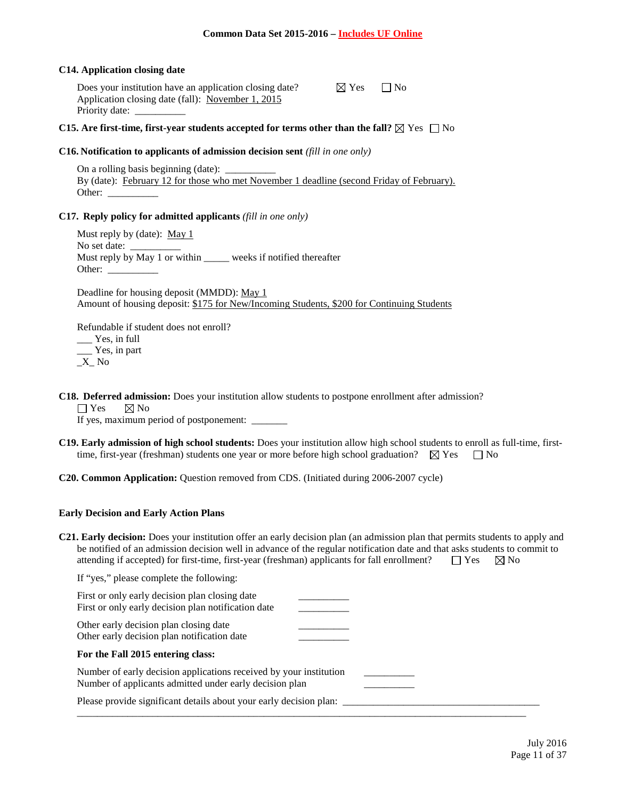### **C14. Application closing date**

Does your institution have an application closing date?  $\boxtimes$  Yes  $\Box$  No Application closing date (fall): November 1, 2015 Priority date: \_\_\_\_\_\_\_\_\_\_

## **C15. Are first-time, first-year students accepted for terms other than the fall?**  $\boxtimes$  Yes  $\Box$  No

### **C16. Notification to applicants of admission decision sent** *(fill in one only)*

On a rolling basis beginning (date): By (date): February 12 for those who met November 1 deadline (second Friday of February). Other:

### **C17. Reply policy for admitted applicants** *(fill in one only)*

Must reply by (date): May 1 No set date: Must reply by May 1 or within \_\_\_\_\_\_ weeks if notified thereafter Other:

Deadline for housing deposit (MMDD): May 1 Amount of housing deposit: \$175 for New/Incoming Students, \$200 for Continuing Students

Refundable if student does not enroll? \_\_\_ Yes, in full

\_\_\_ Yes, in part  $X$ <sub> $N$ o</sub>

**C18. Deferred admission:** Does your institution allow students to postpone enrollment after admission?

 $\Box$  Yes  $\Box$  No

If yes, maximum period of postponement: \_\_\_\_\_\_\_\_

- **C19. Early admission of high school students:** Does your institution allow high school students to enroll as full-time, firsttime, first-year (freshman) students one year or more before high school graduation?  $\boxtimes$  Yes  $\Box$  No
- **C20. Common Application:** Question removed from CDS. (Initiated during 2006-2007 cycle)

## **Early Decision and Early Action Plans**

**C21. Early decision:** Does your institution offer an early decision plan (an admission plan that permits students to apply and be notified of an admission decision well in advance of the regular notification date and that asks students to commit to attending if accepted) for first-time, first-year (freshman) applicants for fall enrollment?  $\square$  Yes  $\boxtimes$  No

If "yes," please complete the following:

| First or only early decision plan closing date<br>First or only early decision plan notification date                         |  |
|-------------------------------------------------------------------------------------------------------------------------------|--|
| Other early decision plan closing date<br>Other early decision plan notification date                                         |  |
| For the Fall 2015 entering class:                                                                                             |  |
| Number of early decision applications received by your institution<br>Number of applicants admitted under early decision plan |  |
| Please provide significant details about your early decision plan:                                                            |  |
|                                                                                                                               |  |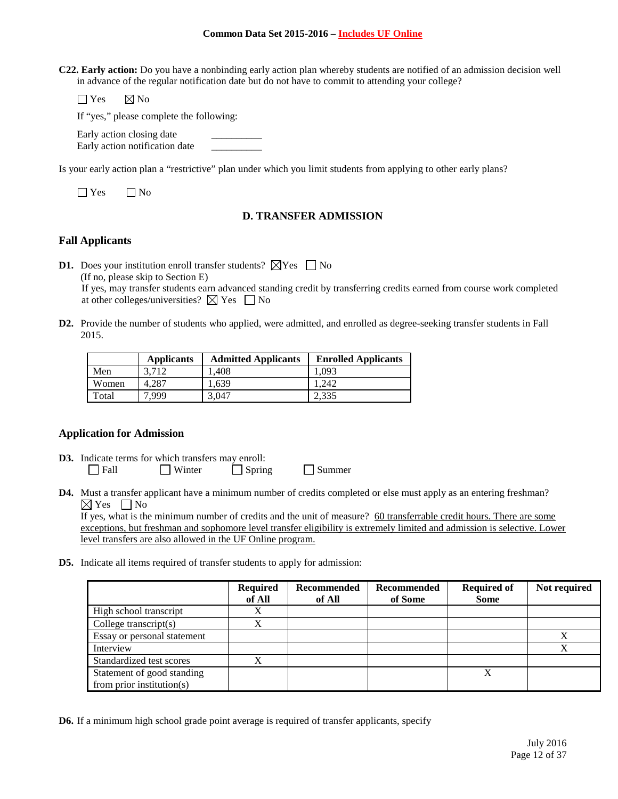**C22. Early action:** Do you have a nonbinding early action plan whereby students are notified of an admission decision well in advance of the regular notification date but do not have to commit to attending your college?

 $\Box$  Yes  $\boxtimes$  No

If "yes," please complete the following:

Early action closing date Early action notification date \_\_\_\_\_\_\_\_\_\_

Is your early action plan a "restrictive" plan under which you limit students from applying to other early plans?

 $\Box$  Yes  $\Box$  No

# **D. TRANSFER ADMISSION**

## **Fall Applicants**

**D1.** Does your institution enroll transfer students?  $\boxtimes$  Yes  $\Box$  No (If no, please skip to Section E) If yes, may transfer students earn advanced standing credit by transferring credits earned from course work completed at other colleges/universities?  $\boxtimes$  Yes  $\Box$  No

**D2.** Provide the number of students who applied, were admitted, and enrolled as degree-seeking transfer students in Fall 2015.

|       | <b>Applicants</b> | <b>Admitted Applicants</b> | <b>Enrolled Applicants</b> |
|-------|-------------------|----------------------------|----------------------------|
| Men   | 3.712             | 1.408                      | 1.093                      |
| Women | 4.287             | 1.639                      | 1.242                      |
| Total | 7.999             | 3,047                      | 2,335                      |

# **Application for Admission**

- **D3.** Indicate terms for which transfers may enroll:<br> $\Box$  Fall  $\Box$  Winter  $\Box$  Sprin  $\Box$  Winter  $\Box$  Spring  $\Box$  Summer
- **D4.** Must a transfer applicant have a minimum number of credits completed or else must apply as an entering freshman?  $\boxtimes$  Yes  $\quad \Box$  No

If yes, what is the minimum number of credits and the unit of measure? 60 transferrable credit hours. There are some exceptions, but freshman and sophomore level transfer eligibility is extremely limited and admission is selective. Lower level transfers are also allowed in the UF Online program.

**D5.** Indicate all items required of transfer students to apply for admission:

|                             | <b>Required</b> | Recommended | <b>Recommended</b> | <b>Required of</b> | Not required |
|-----------------------------|-----------------|-------------|--------------------|--------------------|--------------|
|                             | of All          | of All      | of Some            | Some               |              |
| High school transcript      | л               |             |                    |                    |              |
| College transcript $(s)$    | X               |             |                    |                    |              |
| Essay or personal statement |                 |             |                    |                    | X            |
| Interview                   |                 |             |                    |                    |              |
| Standardized test scores    | v               |             |                    |                    |              |
| Statement of good standing  |                 |             |                    | X                  |              |
| from prior institution(s)   |                 |             |                    |                    |              |

**D6.** If a minimum high school grade point average is required of transfer applicants, specify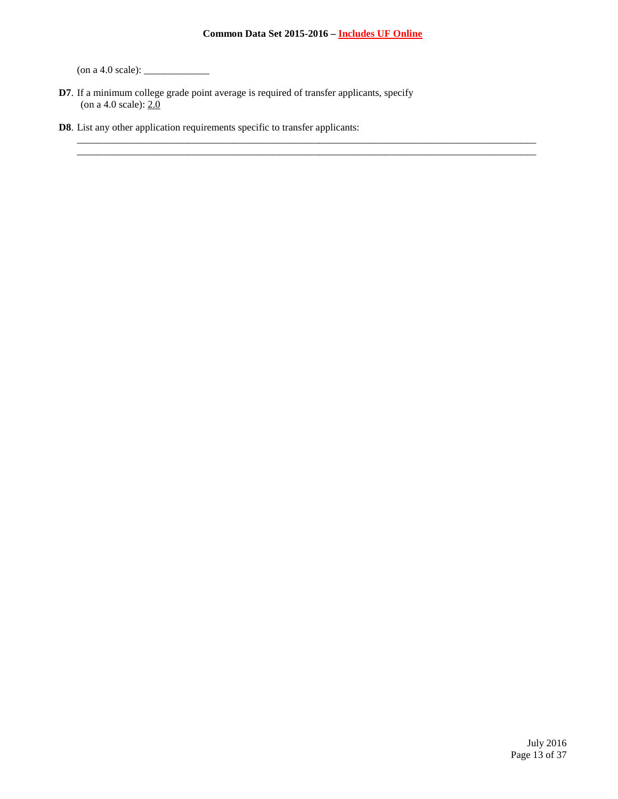\_\_\_\_\_\_\_\_\_\_\_\_\_\_\_\_\_\_\_\_\_\_\_\_\_\_\_\_\_\_\_\_\_\_\_\_\_\_\_\_\_\_\_\_\_\_\_\_\_\_\_\_\_\_\_\_\_\_\_\_\_\_\_\_\_\_\_\_\_\_\_\_\_\_\_\_\_\_\_\_\_\_\_\_\_\_\_\_\_\_\_ \_\_\_\_\_\_\_\_\_\_\_\_\_\_\_\_\_\_\_\_\_\_\_\_\_\_\_\_\_\_\_\_\_\_\_\_\_\_\_\_\_\_\_\_\_\_\_\_\_\_\_\_\_\_\_\_\_\_\_\_\_\_\_\_\_\_\_\_\_\_\_\_\_\_\_\_\_\_\_\_\_\_\_\_\_\_\_\_\_\_\_

(on a 4.0 scale): \_\_\_\_\_\_\_\_\_\_\_\_\_

**D7**. If a minimum college grade point average is required of transfer applicants, specify (on a 4.0 scale): 2.0

**D8**. List any other application requirements specific to transfer applicants:

July 2016 Page 13 of 37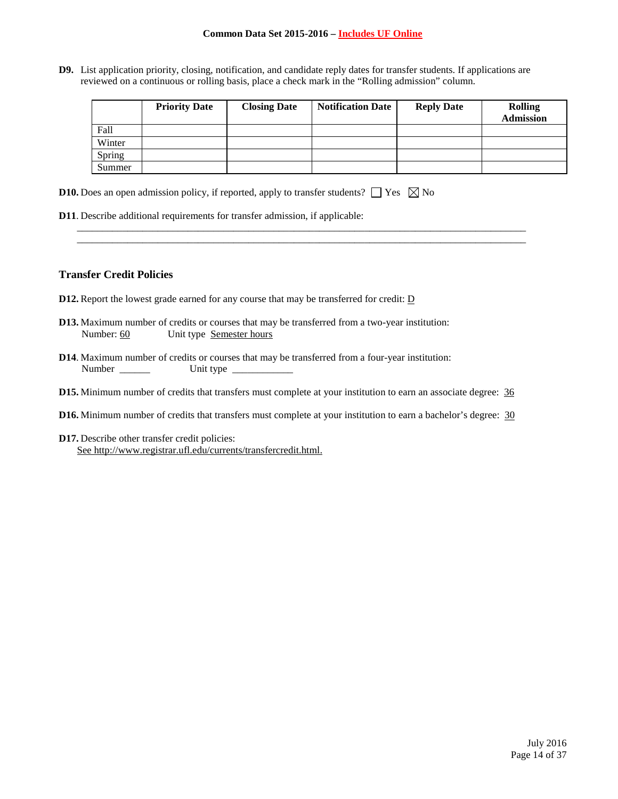**D9.** List application priority, closing, notification, and candidate reply dates for transfer students. If applications are reviewed on a continuous or rolling basis, place a check mark in the "Rolling admission" column.

\_\_\_\_\_\_\_\_\_\_\_\_\_\_\_\_\_\_\_\_\_\_\_\_\_\_\_\_\_\_\_\_\_\_\_\_\_\_\_\_\_\_\_\_\_\_\_\_\_\_\_\_\_\_\_\_\_\_\_\_\_\_\_\_\_\_\_\_\_\_\_\_\_\_\_\_\_\_\_\_\_\_\_\_\_\_\_\_\_ \_\_\_\_\_\_\_\_\_\_\_\_\_\_\_\_\_\_\_\_\_\_\_\_\_\_\_\_\_\_\_\_\_\_\_\_\_\_\_\_\_\_\_\_\_\_\_\_\_\_\_\_\_\_\_\_\_\_\_\_\_\_\_\_\_\_\_\_\_\_\_\_\_\_\_\_\_\_\_\_\_\_\_\_\_\_\_\_\_

|        | <b>Priority Date</b> | <b>Closing Date</b> | <b>Notification Date</b> | <b>Reply Date</b> | <b>Rolling</b><br><b>Admission</b> |
|--------|----------------------|---------------------|--------------------------|-------------------|------------------------------------|
| Fall   |                      |                     |                          |                   |                                    |
| Winter |                      |                     |                          |                   |                                    |
| Spring |                      |                     |                          |                   |                                    |
| Summer |                      |                     |                          |                   |                                    |

- **D10.** Does an open admission policy, if reported, apply to transfer students?  $\Box$  Yes  $\Box$  No
- **D11**. Describe additional requirements for transfer admission, if applicable:

## **Transfer Credit Policies**

- **D12.** Report the lowest grade earned for any course that may be transferred for credit: **D**
- **D13.** Maximum number of credits or courses that may be transferred from a two-year institution: Number: 60 Unit type Semester hours
- **D14**. Maximum number of credits or courses that may be transferred from a four-year institution: Number \_\_\_\_\_\_ Unit type \_\_\_\_\_\_\_\_\_\_\_\_
- **D15.** Minimum number of credits that transfers must complete at your institution to earn an associate degree:  $\frac{36}{9}$
- **D16.** Minimum number of credits that transfers must complete at your institution to earn a bachelor's degree: 30
- **D17.** Describe other transfer credit policies: See [http://www.registrar.ufl.edu/currents/transfercredit.html.](http://www.registrar.ufl.edu/currents/transfercredit.html)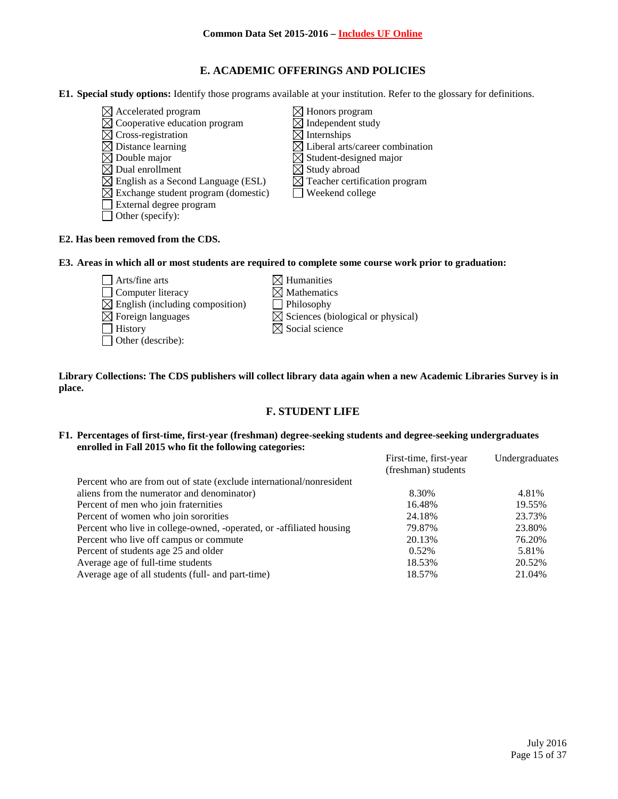# **E. ACADEMIC OFFERINGS AND POLICIES**

**E1. Special study options:** Identify those programs available at your institution. Refer to the glossary for definitions.

 $\boxtimes$  Accelerated program  $\boxtimes$  Honors program  $\boxtimes$  Honors program  $\boxtimes$  Independent study  $\boxtimes$  Cooperative education program  $\boxtimes$  Independen<br>  $\boxtimes$  Cross-registration  $\boxtimes$  Internships  $\overline{\boxtimes}$  Cross-registration<br> $\overline{\boxtimes}$  Distance learning  $\boxtimes$  Distance learning  $\boxtimes$  Liberal arts/career combination  $\boxtimes$  Double major  $\boxtimes$  Student-designed major  $\boxtimes$  Double major<br>  $\boxtimes$  Dual enrollment<br>  $\boxtimes$  Study abroad  $\boxtimes$  Study abroad<br> $\boxtimes$  Teacher certification program  $\boxtimes$  English as a Second Language (ESL)  $\boxtimes$  Teacher certificat  $\boxtimes$  Exchange student program (domestic)  $\boxtimes$  Weekend college  $\boxtimes$  Exchange student program (domestic) External degree program Other (specify):

## **E2. Has been removed from the CDS.**

**E3. Areas in which all or most students are required to complete some course work prior to graduation:**

- $\Box$  Arts/fine arts  $\Box$  Humanities<br>  $\Box$  Computer literacy  $\Box$  Mathematics  $\Box$  Computer literacy  $\boxtimes$  English (including composition)  $\Box$  Philosophy  $\boxtimes$  Foreign languages  $\boxtimes$  Sciences (biological or physical)  $\Box$  History  $\boxtimes$  Social science Other (describe):
	-
	- -
	-

### **Library Collections: The CDS publishers will collect library data again when a new Academic Libraries Survey is in place.**

# **F. STUDENT LIFE**

### **F1. Percentages of first-time, first-year (freshman) degree-seeking students and degree-seeking undergraduates enrolled in Fall 2015 who fit the following categories:**

| First-time, first-year<br>(freshman) students | Undergraduates |
|-----------------------------------------------|----------------|
|                                               |                |
| 8.30%                                         | 4.81%          |
| 16.48%                                        | 19.55%         |
| 24.18%                                        | 23.73%         |
| 79.87%                                        | 23.80%         |
| 20.13%                                        | 76.20%         |
| 0.52%                                         | 5.81%          |
| 18.53%                                        | 20.52%         |
| 18.57%                                        | 21.04%         |
|                                               |                |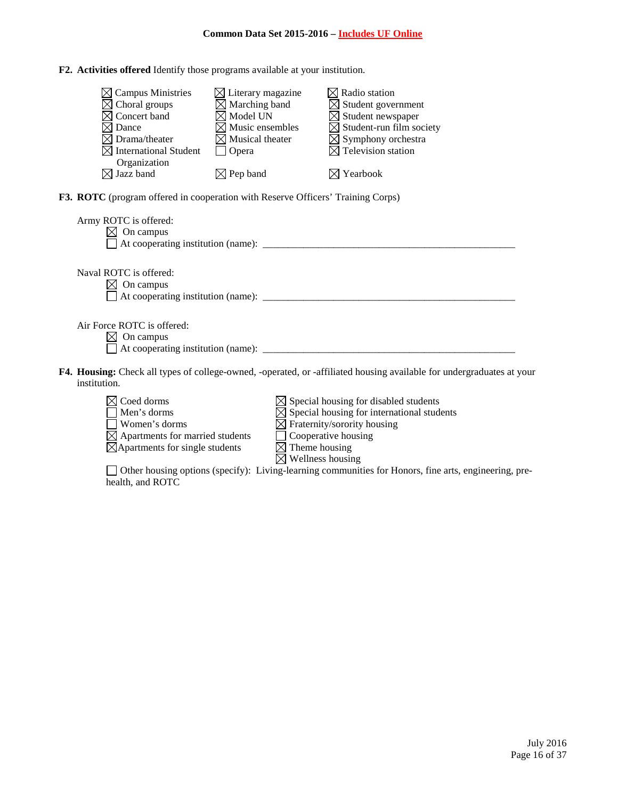**F2. Activities offered** Identify those programs available at your institution.

| <b>Campus Ministries</b><br>Choral groups<br>Concert band<br>Dance<br>Drama/theater<br>$\bowtie$ International Student | $\boxtimes$ Literary magazine<br>$\boxtimes$ Marching band<br>$\boxtimes$ Model UN<br>$\boxtimes$ Music ensembles<br>$\boxtimes$ Musical theater<br>Opera | $\boxtimes$ Radio station<br>$\boxtimes$ Student government<br>$\boxtimes$ Student newspaper<br>$\boxtimes$ Student-run film society<br>$\boxtimes$ Symphony orchestra<br>$\boxtimes$ Television station |  |
|------------------------------------------------------------------------------------------------------------------------|-----------------------------------------------------------------------------------------------------------------------------------------------------------|----------------------------------------------------------------------------------------------------------------------------------------------------------------------------------------------------------|--|
| Organization                                                                                                           |                                                                                                                                                           |                                                                                                                                                                                                          |  |
| $\boxtimes$ Jazz band                                                                                                  | $\boxtimes$ Pep band                                                                                                                                      | $\boxtimes$ Yearbook                                                                                                                                                                                     |  |
| F3. ROTC (program offered in cooperation with Reserve Officers' Training Corps)                                        |                                                                                                                                                           |                                                                                                                                                                                                          |  |
| Army ROTC is offered:<br>On campus<br>At cooperating institution (name): ______                                        |                                                                                                                                                           |                                                                                                                                                                                                          |  |
|                                                                                                                        |                                                                                                                                                           |                                                                                                                                                                                                          |  |
| Naval ROTC is offered:                                                                                                 |                                                                                                                                                           |                                                                                                                                                                                                          |  |
| On campus                                                                                                              |                                                                                                                                                           |                                                                                                                                                                                                          |  |
| At cooperating institution (name):                                                                                     |                                                                                                                                                           |                                                                                                                                                                                                          |  |

Air Force ROTC is offered:

- $\boxtimes$  On campus
- $\Box$  At cooperating institution (name):  $\Box$
- **F4. Housing:** Check all types of college-owned, -operated, or -affiliated housing available for undergraduates at your institution.



- $\boxtimes$  Apartments for married students
- $\overline{\boxtimes}$ Apartments for single students
- Coed dorms  $\boxtimes$  Special housing for disabled students
- Men's dorms  $\boxtimes$  Special housing for international students
- $\Box$  Women's dorms  $\Box$  Fraternity/sorority housing
	- $\Box$  Cooperative housing<br> $\Box$  Theme housing<br> $\Box$  Wellness housing
	-
	-

Other housing options (specify): Living-learning communities for Honors, fine arts, engineering, prehealth, and ROTC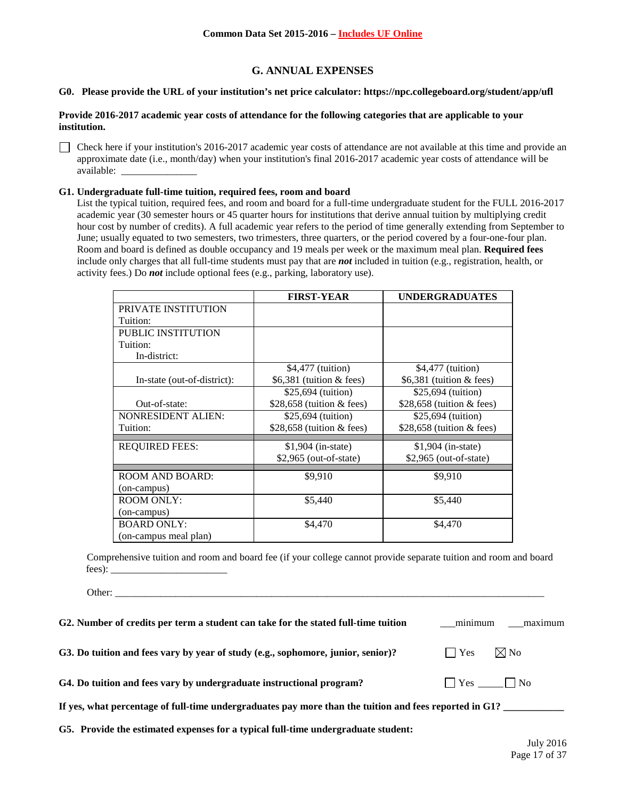# **G. ANNUAL EXPENSES**

# **G0. Please provide the URL of your institution's net price calculator: https://npc.collegeboard.org/student/app/ufl**

### **Provide 2016-2017 academic year costs of attendance for the following categories that are applicable to your institution.**

Check here if your institution's 2016-2017 academic year costs of attendance are not available at this time and provide an approximate date (i.e., month/day) when your institution's final 2016-2017 academic year costs of attendance will be available: \_\_\_\_\_\_\_\_\_\_\_\_\_\_\_

### **G1. Undergraduate full-time tuition, required fees, room and board**

Other:

List the typical tuition, required fees, and room and board for a full-time undergraduate student for the FULL 2016-2017 academic year (30 semester hours or 45 quarter hours for institutions that derive annual tuition by multiplying credit hour cost by number of credits). A full academic year refers to the period of time generally extending from September to June; usually equated to two semesters, two trimesters, three quarters, or the period covered by a four-one-four plan. Room and board is defined as double occupancy and 19 meals per week or the maximum meal plan. **Required fees** include only charges that all full-time students must pay that are *not* included in tuition (e.g., registration, health, or activity fees.) Do *not* include optional fees (e.g., parking, laboratory use).

|                             | <b>FIRST-YEAR</b>           | <b>UNDERGRADUATES</b>       |
|-----------------------------|-----------------------------|-----------------------------|
| PRIVATE INSTITUTION         |                             |                             |
| Tuition:                    |                             |                             |
| <b>PUBLIC INSTITUTION</b>   |                             |                             |
| Tuition:                    |                             |                             |
| In-district:                |                             |                             |
|                             | \$4,477 (tuition)           | \$4,477 (tuition)           |
| In-state (out-of-district): | $$6,381$ (tuition & fees)   | $$6,381$ (tuition & fees)   |
|                             | \$25,694 (tuition)          | \$25,694 (tuition)          |
| Out-of-state:               | \$28,658 (tuition $&$ fees) | \$28,658 (tuition $&$ fees) |
| <b>NONRESIDENT ALIEN:</b>   | \$25,694 (tuition)          | \$25,694 (tuition)          |
| Tuition:                    | \$28,658 (tuition $&$ fees) | \$28,658 (tuition $&$ fees) |
| <b>REQUIRED FEES:</b>       | $$1,904$ (in-state)         | $$1,904$ (in-state)         |
|                             |                             |                             |
|                             | $$2,965$ (out-of-state)     | $$2,965$ (out-of-state)     |
| <b>ROOM AND BOARD:</b>      | \$9,910                     | \$9,910                     |
| (on-campus)                 |                             |                             |
| <b>ROOM ONLY:</b>           | \$5,440                     | \$5,440                     |
| (on-campus)                 |                             |                             |
| <b>BOARD ONLY:</b>          | \$4,470                     | \$4,470                     |
| (on-campus meal plan)       |                             |                             |

Comprehensive tuition and room and board fee (if your college cannot provide separate tuition and room and board fees): \_\_\_\_\_\_\_\_\_\_\_\_\_\_\_\_\_\_\_\_\_\_\_

| G2. Number of credits per term a student can take for the stated full-time tuition                     | minimum              | maximum                                |
|--------------------------------------------------------------------------------------------------------|----------------------|----------------------------------------|
| G3. Do tuition and fees vary by year of study (e.g., sophomore, junior, senior)?                       | $ $ $ $ Yes          | $\boxtimes$ No                         |
| G4. Do tuition and fees vary by undergraduate instructional program?                                   | $\Box$ Yes $\Box$ No |                                        |
| If yes, what percentage of full-time undergraduates pay more than the tuition and fees reported in G1? |                      |                                        |
| G5. Provide the estimated expenses for a typical full-time undergraduate student:                      |                      | $\mathbf{v}$ $\mathbf{v}$ $\mathbf{v}$ |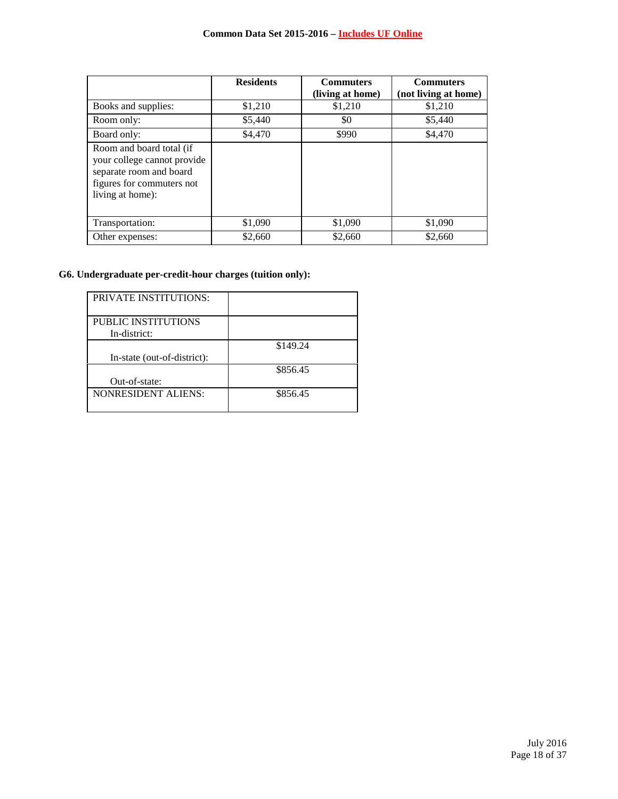|                                                                                                                                     | <b>Residents</b> | <b>Commuters</b> | <b>Commuters</b>     |
|-------------------------------------------------------------------------------------------------------------------------------------|------------------|------------------|----------------------|
|                                                                                                                                     |                  | (living at home) | (not living at home) |
| Books and supplies:                                                                                                                 | \$1,210          | \$1,210          | \$1,210              |
| Room only:                                                                                                                          | \$5,440          | \$0              | \$5,440              |
| Board only:                                                                                                                         | \$4,470          | \$990            | \$4,470              |
| Room and board total (if<br>your college cannot provide<br>separate room and board<br>figures for commuters not<br>living at home): |                  |                  |                      |
| Transportation:                                                                                                                     | \$1,090          | \$1,090          | \$1,090              |
| Other expenses:                                                                                                                     | \$2,660          | \$2,660          | \$2,660              |

# **G6. Undergraduate per-credit-hour charges (tuition only):**

| <b>PRIVATE INSTITUTIONS:</b> |          |
|------------------------------|----------|
|                              |          |
| PUBLIC INSTITUTIONS          |          |
| In-district:                 |          |
|                              | \$149.24 |
| In-state (out-of-district):  |          |
|                              | \$856.45 |
| Out-of-state:                |          |
| <b>NONRESIDENT ALIENS:</b>   | \$856.45 |
|                              |          |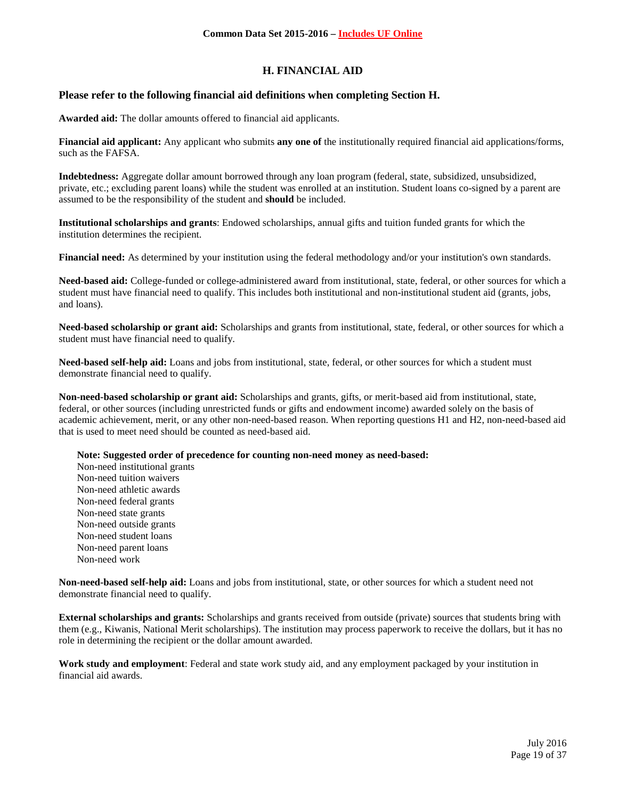# **H. FINANCIAL AID**

## **Please refer to the following financial aid definitions when completing Section H.**

**Awarded aid:** The dollar amounts offered to financial aid applicants.

**Financial aid applicant:** Any applicant who submits **any one of** the institutionally required financial aid applications/forms, such as the FAFSA.

**Indebtedness:** Aggregate dollar amount borrowed through any loan program (federal, state, subsidized, unsubsidized, private, etc.; excluding parent loans) while the student was enrolled at an institution. Student loans co-signed by a parent are assumed to be the responsibility of the student and **should** be included.

**Institutional scholarships and grants**: Endowed scholarships, annual gifts and tuition funded grants for which the institution determines the recipient.

**Financial need:** As determined by your institution using the federal methodology and/or your institution's own standards.

**Need-based aid:** College-funded or college-administered award from institutional, state, federal, or other sources for which a student must have financial need to qualify. This includes both institutional and non-institutional student aid (grants, jobs, and loans).

**Need-based scholarship or grant aid:** Scholarships and grants from institutional, state, federal, or other sources for which a student must have financial need to qualify.

**Need-based self-help aid:** Loans and jobs from institutional, state, federal, or other sources for which a student must demonstrate financial need to qualify.

**Non-need-based scholarship or grant aid:** Scholarships and grants, gifts, or merit-based aid from institutional, state, federal, or other sources (including unrestricted funds or gifts and endowment income) awarded solely on the basis of academic achievement, merit, or any other non-need-based reason. When reporting questions H1 and H2, non-need-based aid that is used to meet need should be counted as need-based aid.

**Note: Suggested order of precedence for counting non-need money as need-based:**

Non-need institutional grants Non-need tuition waivers Non-need athletic awards Non-need federal grants Non-need state grants Non-need outside grants Non-need student loans Non-need parent loans Non-need work

**Non-need-based self-help aid:** Loans and jobs from institutional, state, or other sources for which a student need not demonstrate financial need to qualify.

**External scholarships and grants:** Scholarships and grants received from outside (private) sources that students bring with them (e.g., Kiwanis, National Merit scholarships). The institution may process paperwork to receive the dollars, but it has no role in determining the recipient or the dollar amount awarded.

**Work study and employment**: Federal and state work study aid, and any employment packaged by your institution in financial aid awards.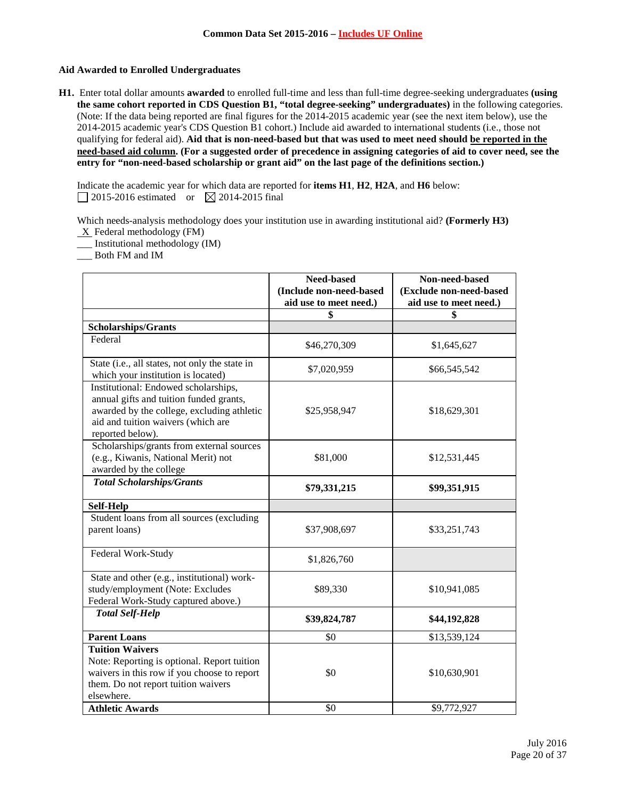## **Aid Awarded to Enrolled Undergraduates**

**H1.** Enter total dollar amounts **awarded** to enrolled full-time and less than full-time degree-seeking undergraduates **(using the same cohort reported in CDS Question B1, "total degree-seeking" undergraduates)** in the following categories. (Note: If the data being reported are final figures for the 2014-2015 academic year (see the next item below), use the 2014-2015 academic year's CDS Question B1 cohort.) Include aid awarded to international students (i.e., those not qualifying for federal aid). **Aid that is non-need-based but that was used to meet need should be reported in the need-based aid column. (For a suggested order of precedence in assigning categories of aid to cover need, see the entry for "non-need-based scholarship or grant aid" on the last page of the definitions section.)**

Indicate the academic year for which data are reported for **items H1**, **H2**, **H2A**, and **H6** below:  $\Box$  2015-2016 estimated or  $\boxtimes$  2014-2015 final

Which needs-analysis methodology does your institution use in awarding institutional aid? **(Formerly H3)**  $X$  Federal methodology (FM)

\_\_\_ Institutional methodology (IM)

\_\_\_ Both FM and IM

|                                                                                                                                                                                         | Need-based<br>(Include non-need-based<br>aid use to meet need.) | Non-need-based<br>(Exclude non-need-based<br>aid use to meet need.) |
|-----------------------------------------------------------------------------------------------------------------------------------------------------------------------------------------|-----------------------------------------------------------------|---------------------------------------------------------------------|
|                                                                                                                                                                                         | \$                                                              | \$                                                                  |
| Scholarships/Grants                                                                                                                                                                     |                                                                 |                                                                     |
| Federal                                                                                                                                                                                 | \$46,270,309                                                    | \$1,645,627                                                         |
| State (i.e., all states, not only the state in<br>which your institution is located)                                                                                                    | \$7,020,959                                                     | \$66,545,542                                                        |
| Institutional: Endowed scholarships,<br>annual gifts and tuition funded grants,<br>awarded by the college, excluding athletic<br>aid and tuition waivers (which are<br>reported below). | \$25,958,947                                                    | \$18,629,301                                                        |
| Scholarships/grants from external sources<br>(e.g., Kiwanis, National Merit) not<br>awarded by the college                                                                              | \$81,000                                                        | \$12,531,445                                                        |
| <b>Total Scholarships/Grants</b>                                                                                                                                                        | \$79,331,215                                                    | \$99,351,915                                                        |
| <b>Self-Help</b>                                                                                                                                                                        |                                                                 |                                                                     |
| Student loans from all sources (excluding<br>parent loans)                                                                                                                              | \$37,908,697                                                    | \$33,251,743                                                        |
| Federal Work-Study                                                                                                                                                                      | \$1,826,760                                                     |                                                                     |
| State and other (e.g., institutional) work-<br>study/employment (Note: Excludes<br>Federal Work-Study captured above.)                                                                  | \$89,330                                                        | \$10,941,085                                                        |
| <b>Total Self-Help</b>                                                                                                                                                                  | \$39,824,787                                                    | \$44,192,828                                                        |
| <b>Parent Loans</b>                                                                                                                                                                     | \$0                                                             | \$13,539,124                                                        |
| <b>Tuition Waivers</b><br>Note: Reporting is optional. Report tuition<br>waivers in this row if you choose to report<br>them. Do not report tuition waivers<br>elsewhere.               | \$0                                                             | \$10,630,901                                                        |
| <b>Athletic Awards</b>                                                                                                                                                                  | \$0                                                             | \$9,772,927                                                         |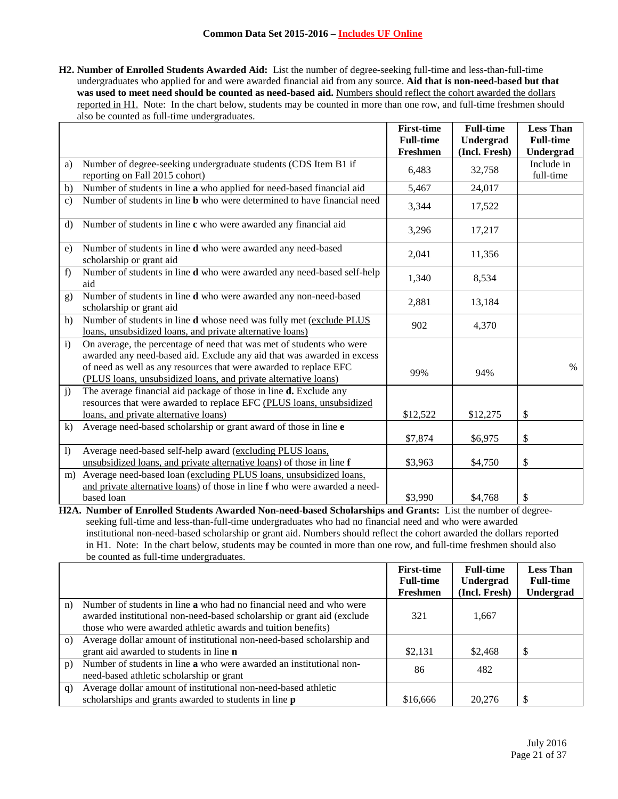**H2. Number of Enrolled Students Awarded Aid:** List the number of degree-seeking full-time and less-than-full-time undergraduates who applied for and were awarded financial aid from any source. **Aid that is non-need-based but that**  was used to meet need should be counted as need-based aid. Numbers should reflect the cohort awarded the dollars reported in H1. Note: In the chart below, students may be counted in more than one row, and full-time freshmen should also be counted as full-time undergraduates.

|                |                                                                                                                                                  | <b>First-time</b><br><b>Full-time</b> | <b>Full-time</b><br>Undergrad | <b>Less Than</b><br><b>Full-time</b> |
|----------------|--------------------------------------------------------------------------------------------------------------------------------------------------|---------------------------------------|-------------------------------|--------------------------------------|
|                |                                                                                                                                                  | Freshmen                              | (Incl. Fresh)                 | Undergrad                            |
| a)             | Number of degree-seeking undergraduate students (CDS Item B1 if<br>reporting on Fall 2015 cohort)                                                | 6,483                                 | 32,758                        | Include in<br>full-time              |
| b)             | Number of students in line a who applied for need-based financial aid                                                                            | 5,467                                 | 24,017                        |                                      |
| $\mathbf{c}$   | Number of students in line <b>b</b> who were determined to have financial need                                                                   | 3,344                                 | 17,522                        |                                      |
| $\mathbf{d}$   | Number of students in line c who were awarded any financial aid                                                                                  | 3,296                                 | 17,217                        |                                      |
| e)             | Number of students in line d who were awarded any need-based<br>scholarship or grant aid                                                         | 2,041                                 | 11,356                        |                                      |
| f)             | Number of students in line d who were awarded any need-based self-help<br>aid                                                                    | 1,340                                 | 8,534                         |                                      |
| g)             | Number of students in line d who were awarded any non-need-based<br>scholarship or grant aid                                                     | 2,881                                 | 13,184                        |                                      |
| h)             | Number of students in line <b>d</b> whose need was fully met (exclude PLUS<br>loans, unsubsidized loans, and private alternative loans)          | 902                                   | 4,370                         |                                      |
| $\mathbf{i}$   | On average, the percentage of need that was met of students who were<br>awarded any need-based aid. Exclude any aid that was awarded in excess   |                                       |                               | $\%$                                 |
|                | of need as well as any resources that were awarded to replace EFC<br>(PLUS loans, unsubsidized loans, and private alternative loans)             | 99%                                   | 94%                           |                                      |
| $\mathbf{j}$   | The average financial aid package of those in line <b>d.</b> Exclude any<br>resources that were awarded to replace EFC (PLUS loans, unsubsidized |                                       |                               |                                      |
|                | loans, and private alternative loans)                                                                                                            | \$12,522                              | \$12,275                      | \$                                   |
| $\bf k$        | Average need-based scholarship or grant award of those in line e                                                                                 |                                       |                               |                                      |
|                |                                                                                                                                                  | \$7,874                               | \$6,975                       | \$                                   |
| $\overline{1}$ | Average need-based self-help award (excluding PLUS loans,<br>unsubsidized loans, and private alternative loans) of those in line f               | \$3,963                               | \$4,750                       | \$                                   |
| m)             | Average need-based loan (excluding PLUS loans, unsubsidized loans,                                                                               |                                       |                               |                                      |
|                | and private alternative loans) of those in line f who were awarded a need-                                                                       |                                       |                               |                                      |
|                | based loan                                                                                                                                       | \$3,990                               | \$4,768                       | \$                                   |

**H2A. Number of Enrolled Students Awarded Non-need-based Scholarships and Grants:** List the number of degreeseeking full-time and less-than-full-time undergraduates who had no financial need and who were awarded institutional non-need-based scholarship or grant aid. Numbers should reflect the cohort awarded the dollars reported in H1. Note: In the chart below, students may be counted in more than one row, and full-time freshmen should also be counted as full-time undergraduates.

|          |                                                                                                                                                                                                                      | <b>First-time</b><br><b>Full-time</b><br>Freshmen | <b>Full-time</b><br>Undergrad<br>(Incl. Fresh) | <b>Less Than</b><br><b>Full-time</b><br>Undergrad |
|----------|----------------------------------------------------------------------------------------------------------------------------------------------------------------------------------------------------------------------|---------------------------------------------------|------------------------------------------------|---------------------------------------------------|
| n)       | Number of students in line <b>a</b> who had no financial need and who were<br>awarded institutional non-need-based scholarship or grant aid (exclude<br>those who were awarded athletic awards and tuition benefits) | 321                                               | 1,667                                          |                                                   |
| $\Omega$ | Average dollar amount of institutional non-need-based scholarship and<br>grant aid awarded to students in line <b>n</b>                                                                                              | \$2,131                                           | \$2,468                                        | <sup>\$</sup>                                     |
| p)       | Number of students in line a who were awarded an institutional non-<br>need-based athletic scholarship or grant                                                                                                      | 86                                                | 482                                            |                                                   |
| q)       | Average dollar amount of institutional non-need-based athletic<br>scholarships and grants awarded to students in line <b>p</b>                                                                                       | \$16,666                                          | 20,276                                         | S.                                                |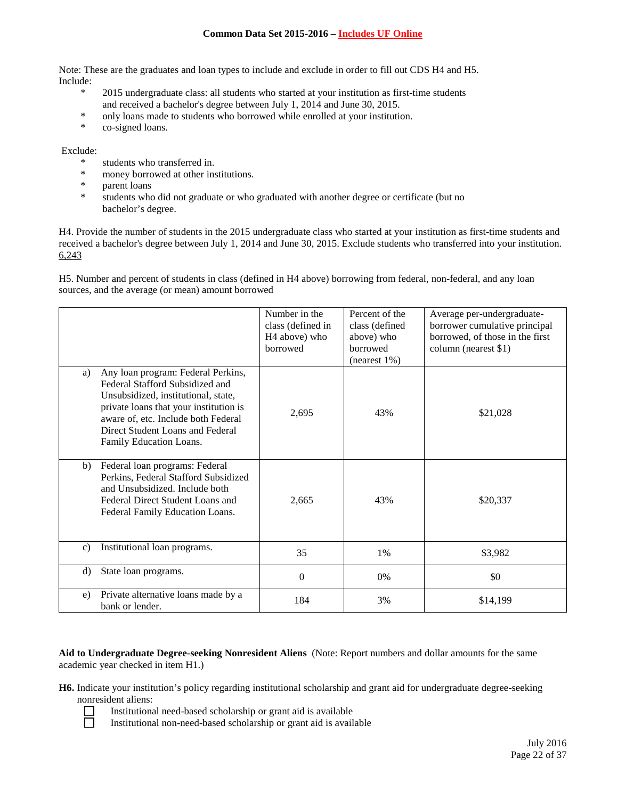Note: These are the graduates and loan types to include and exclude in order to fill out CDS H4 and H5. Include:

- \* 2015 undergraduate class: all students who started at your institution as first-time students and received a bachelor's degree between July 1, 2014 and June 30, 2015.
- \* only loans made to students who borrowed while enrolled at your institution.
- co-signed loans.

## Exclude:

- \* students who transferred in.<br>\* money berrowed at other in
- \* money borrowed at other institutions.<br>\* parent loans
- parent loans
- \* students who did not graduate or who graduated with another degree or certificate (but no bachelor's degree.

H4. Provide the number of students in the 2015 undergraduate class who started at your institution as first-time students and received a bachelor's degree between July 1, 2014 and June 30, 2015. Exclude students who transferred into your institution. 6,243

H5. Number and percent of students in class (defined in H4 above) borrowing from federal, non-federal, and any loan sources, and the average (or mean) amount borrowed

|              |                                                                                                                                                                                                                                                              | Number in the<br>class (defined in<br>H <sub>4</sub> above) who<br>borrowed | Percent of the<br>class (defined<br>above) who<br>borrowed<br>$(n \text{earest } 1\%)$ | Average per-undergraduate-<br>borrower cumulative principal<br>borrowed, of those in the first<br>column (nearest \$1) |
|--------------|--------------------------------------------------------------------------------------------------------------------------------------------------------------------------------------------------------------------------------------------------------------|-----------------------------------------------------------------------------|----------------------------------------------------------------------------------------|------------------------------------------------------------------------------------------------------------------------|
| a)           | Any loan program: Federal Perkins,<br>Federal Stafford Subsidized and<br>Unsubsidized, institutional, state,<br>private loans that your institution is<br>aware of, etc. Include both Federal<br>Direct Student Loans and Federal<br>Family Education Loans. | 2,695                                                                       | 43%                                                                                    | \$21,028                                                                                                               |
| b)           | Federal loan programs: Federal<br>Perkins, Federal Stafford Subsidized<br>and Unsubsidized. Include both<br>Federal Direct Student Loans and<br>Federal Family Education Loans.                                                                              | 2,665                                                                       | 43%                                                                                    | \$20,337                                                                                                               |
| $\mathbf{c}$ | Institutional loan programs.                                                                                                                                                                                                                                 | 35                                                                          | 1%                                                                                     | \$3,982                                                                                                                |
| $\rm d$      | State loan programs.                                                                                                                                                                                                                                         | $\Omega$                                                                    | $0\%$                                                                                  | \$0                                                                                                                    |
| e)           | Private alternative loans made by a<br>bank or lender.                                                                                                                                                                                                       | 184                                                                         | 3%                                                                                     | \$14,199                                                                                                               |

**Aid to Undergraduate Degree-seeking Nonresident Aliens** (Note: Report numbers and dollar amounts for the same academic year checked in item H1.)

**H6.** Indicate your institution's policy regarding institutional scholarship and grant aid for undergraduate degree-seeking nonresident aliens:

- Institutional need-based scholarship or grant aid is available
- Institutional non-need-based scholarship or grant aid is available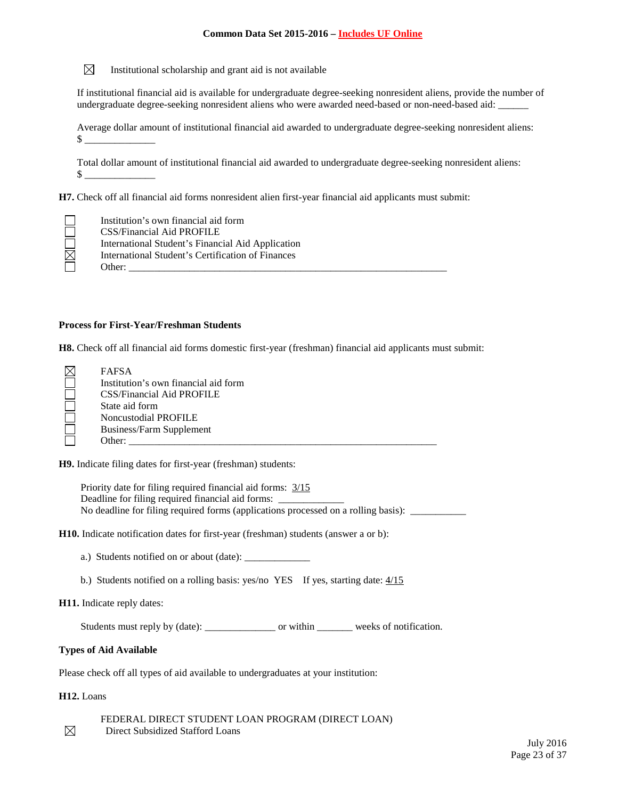$\boxtimes$ Institutional scholarship and grant aid is not available

If institutional financial aid is available for undergraduate degree-seeking nonresident aliens, provide the number of undergraduate degree-seeking nonresident aliens who were awarded need-based or non-need-based aid:

Average dollar amount of institutional financial aid awarded to undergraduate degree-seeking nonresident aliens:  $\frac{12}{2}$ 

Total dollar amount of institutional financial aid awarded to undergraduate degree-seeking nonresident aliens:  $\mathbb S$ 

**H7.** Check off all financial aid forms nonresident alien first-year financial aid applicants must submit:

|                         | Institution's own financial aid form              |
|-------------------------|---------------------------------------------------|
|                         | CSS/Financial Aid PROFILE                         |
|                         | International Student's Financial Aid Application |
| $\overline{\mathbb{Z}}$ | International Student's Certification of Finances |
|                         | Other:                                            |

### **Process for First-Year/Freshman Students**

**H8.** Check off all financial aid forms domestic first-year (freshman) financial aid applicants must submit:

| $\boxtimes$ | <b>FAFSA</b>                         |
|-------------|--------------------------------------|
|             | Institution's own financial aid form |
|             | CSS/Financial Aid PROFILE            |
|             | State aid form                       |
|             | Noncustodial PROFILE                 |
|             | Business/Farm Supplement             |
|             | Other:                               |

**H9.** Indicate filing dates for first-year (freshman) students:

Priority date for filing required financial aid forms: 3/15 Deadline for filing required financial aid forms: \_ No deadline for filing required forms (applications processed on a rolling basis): \_\_\_\_\_\_\_\_\_\_\_\_\_\_\_\_\_\_\_\_\_\_\_\_\_\_\_

**H10.** Indicate notification dates for first-year (freshman) students (answer a or b):

- a.) Students notified on or about (date): \_\_\_\_\_\_\_\_\_\_\_\_\_
- b.) Students notified on a rolling basis: yes/no YES If yes, starting date:  $4/15$

**H11.** Indicate reply dates:

Students must reply by (date): \_\_\_\_\_\_\_\_\_\_\_\_\_\_\_\_\_\_ or within \_\_\_\_\_\_\_\_\_ weeks of notification.

### **Types of Aid Available**

Please check off all types of aid available to undergraduates at your institution:

**H12.** Loans

 $\boxtimes$ 

FEDERAL DIRECT STUDENT LOAN PROGRAM (DIRECT LOAN) Direct Subsidized Stafford Loans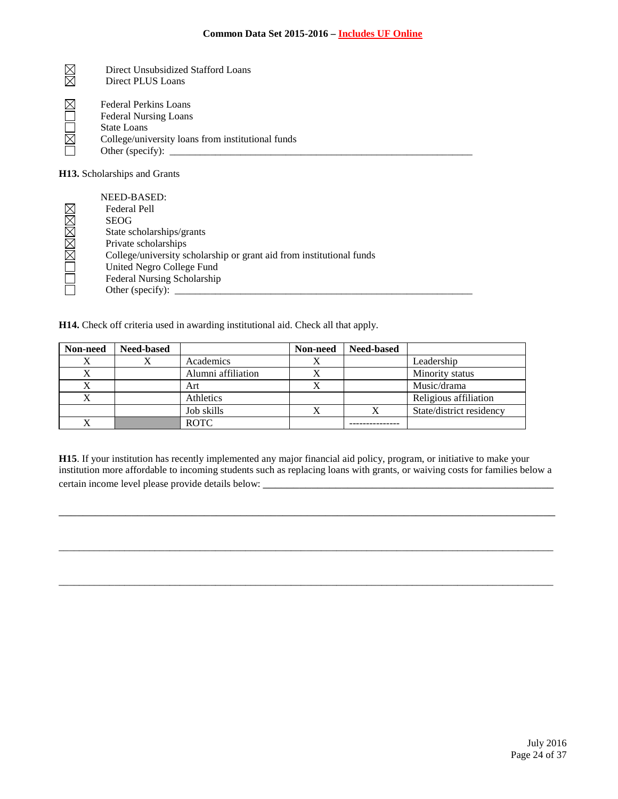| Direct Unsubsidized Stafford Loans<br>Direct PLUS Loans                                                                                              |
|------------------------------------------------------------------------------------------------------------------------------------------------------|
| <b>Federal Perkins Loans</b><br><b>Federal Nursing Loans</b><br>State Loans<br>College/university loans from institutional funds<br>Other (specify): |

**H13.** Scholarships and Grants

|              | NEED-BASED:                                                          |
|--------------|----------------------------------------------------------------------|
|              | <b>Federal Pell</b>                                                  |
| OMMMMM       | <b>SEOG</b>                                                          |
|              | State scholarships/grants                                            |
|              | Private scholarships                                                 |
|              | College/university scholarship or grant aid from institutional funds |
|              | United Negro College Fund                                            |
| $\mathbf{L}$ | Federal Nursing Scholarship                                          |
|              | Other (specify):                                                     |
|              |                                                                      |

**H14.** Check off criteria used in awarding institutional aid. Check all that apply.

| Non-need | <b>Need-based</b> |                    | Non-need | <b>Need-based</b> |                          |
|----------|-------------------|--------------------|----------|-------------------|--------------------------|
|          |                   | Academics          |          |                   | Leadership               |
| Х        |                   | Alumni affiliation |          |                   | Minority status          |
| △        |                   | Art                |          |                   | Music/drama              |
| X        |                   | Athletics          |          |                   | Religious affiliation    |
|          |                   | Job skills         |          |                   | State/district residency |
|          |                   | <b>ROTC</b>        |          |                   |                          |

**H15**. If your institution has recently implemented any major financial aid policy, program, or initiative to make your institution more affordable to incoming students such as replacing loans with grants, or waiving costs for families below a certain income level please provide details below: \_\_\_\_\_\_\_\_\_\_\_\_\_\_\_\_\_\_\_\_\_\_\_\_\_\_\_\_\_\_

\_\_\_\_\_\_\_\_\_\_\_\_\_\_\_\_\_\_\_\_\_\_\_\_\_\_\_\_\_\_\_\_\_\_\_\_\_\_\_\_\_\_\_\_\_\_\_\_\_\_\_\_\_\_\_\_\_\_\_\_\_\_\_\_\_\_\_\_\_\_\_\_\_\_\_\_\_\_\_\_\_\_

\_\_\_\_\_\_\_\_\_\_\_\_\_\_\_\_\_\_\_\_\_\_\_\_\_\_\_\_\_\_\_\_\_\_\_\_\_\_\_\_\_\_\_\_\_\_\_\_\_\_\_\_\_\_\_\_\_\_\_\_\_\_\_\_\_\_\_\_\_\_\_\_\_\_\_\_\_\_\_\_\_\_\_\_\_\_\_\_\_\_\_\_\_\_\_\_\_\_

 $\_$  ,  $\_$  ,  $\_$  ,  $\_$  ,  $\_$  ,  $\_$  ,  $\_$  ,  $\_$  ,  $\_$  ,  $\_$  ,  $\_$  ,  $\_$  ,  $\_$  ,  $\_$  ,  $\_$  ,  $\_$  ,  $\_$  ,  $\_$  ,  $\_$  ,  $\_$  ,  $\_$  ,  $\_$  ,  $\_$  ,  $\_$  ,  $\_$  ,  $\_$  ,  $\_$  ,  $\_$  ,  $\_$  ,  $\_$  ,  $\_$  ,  $\_$  ,  $\_$  ,  $\_$  ,  $\_$  ,  $\_$  ,  $\_$  ,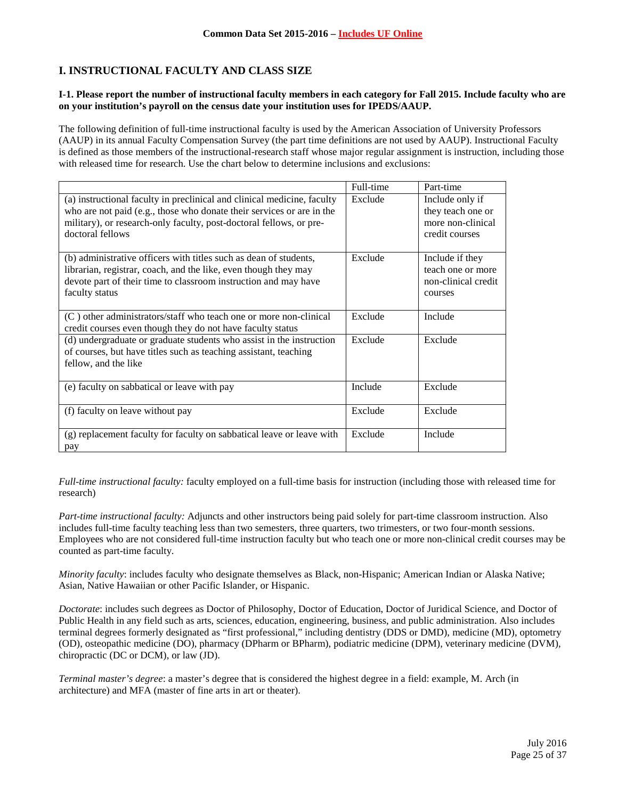# **I. INSTRUCTIONAL FACULTY AND CLASS SIZE**

### **I-1. Please report the number of instructional faculty members in each category for Fall 2015. Include faculty who are on your institution's payroll on the census date your institution uses for IPEDS/AAUP.**

The following definition of full-time instructional faculty is used by the American Association of University Professors (AAUP) in its annual Faculty Compensation Survey (the part time definitions are not used by AAUP). Instructional Faculty is defined as those members of the instructional-research staff whose major regular assignment is instruction, including those with released time for research. Use the chart below to determine inclusions and exclusions:

|                                                                                                                                                                                                                                             | Full-time | Part-time                                                                   |
|---------------------------------------------------------------------------------------------------------------------------------------------------------------------------------------------------------------------------------------------|-----------|-----------------------------------------------------------------------------|
| (a) instructional faculty in preclinical and clinical medicine, faculty<br>who are not paid (e.g., those who donate their services or are in the<br>military), or research-only faculty, post-doctoral fellows, or pre-<br>doctoral fellows | Exclude   | Include only if<br>they teach one or<br>more non-clinical<br>credit courses |
| (b) administrative officers with titles such as dean of students,<br>librarian, registrar, coach, and the like, even though they may<br>devote part of their time to classroom instruction and may have<br>faculty status                   | Exclude   | Include if they<br>teach one or more<br>non-clinical credit<br>courses      |
| $(C)$ other administrators/staff who teach one or more non-clinical<br>credit courses even though they do not have faculty status                                                                                                           | Exclude   | Include                                                                     |
| (d) undergraduate or graduate students who assist in the instruction<br>of courses, but have titles such as teaching assistant, teaching<br>fellow, and the like                                                                            | Exclude   | Exclude                                                                     |
| (e) faculty on sabbatical or leave with pay                                                                                                                                                                                                 | Include   | Exclude                                                                     |
| (f) faculty on leave without pay                                                                                                                                                                                                            | Exclude   | Exclude                                                                     |
| (g) replacement faculty for faculty on sabbatical leave or leave with<br>pay                                                                                                                                                                | Exclude   | Include                                                                     |

*Full-time instructional faculty:* faculty employed on a full-time basis for instruction (including those with released time for research)

*Part-time instructional faculty:* Adjuncts and other instructors being paid solely for part-time classroom instruction. Also includes full-time faculty teaching less than two semesters, three quarters, two trimesters, or two four-month sessions. Employees who are not considered full-time instruction faculty but who teach one or more non-clinical credit courses may be counted as part-time faculty.

*Minority faculty*: includes faculty who designate themselves as Black, non-Hispanic; American Indian or Alaska Native; Asian, Native Hawaiian or other Pacific Islander, or Hispanic.

*Doctorate*: includes such degrees as Doctor of Philosophy, Doctor of Education, Doctor of Juridical Science, and Doctor of Public Health in any field such as arts, sciences, education, engineering, business, and public administration. Also includes terminal degrees formerly designated as "first professional," including dentistry (DDS or DMD), medicine (MD), optometry (OD), osteopathic medicine (DO), pharmacy (DPharm or BPharm), podiatric medicine (DPM), veterinary medicine (DVM), chiropractic (DC or DCM), or law (JD).

*Terminal master's degree*: a master's degree that is considered the highest degree in a field: example, M. Arch (in architecture) and MFA (master of fine arts in art or theater).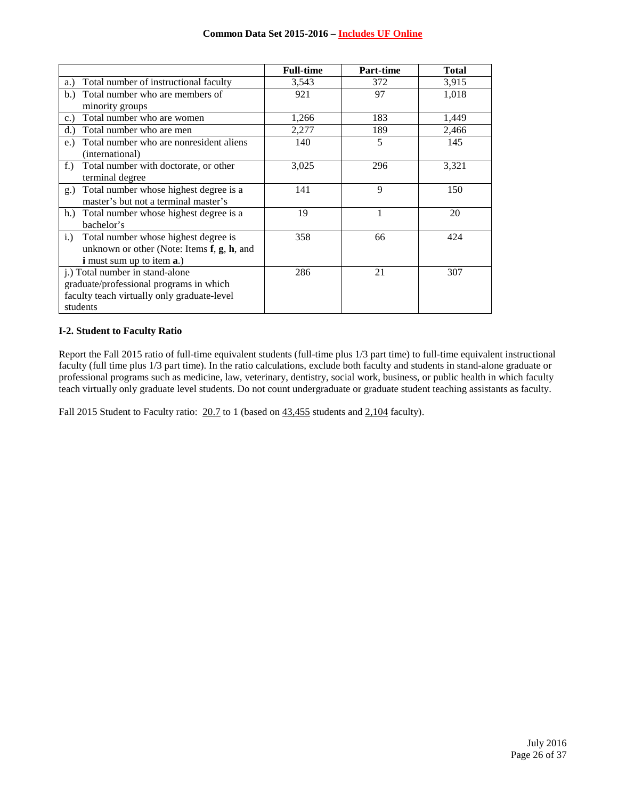|                                                        | <b>Full-time</b> | Part-time | <b>Total</b> |
|--------------------------------------------------------|------------------|-----------|--------------|
| Total number of instructional faculty<br>a.)           | 3,543            | 372       | 3,915        |
| Total number who are members of<br>b.                  | 921              | 97        | 1,018        |
| minority groups                                        |                  |           |              |
| Total number who are women<br>c.                       | 1,266            | 183       | 1,449        |
| Total number who are men<br>d.                         | 2,277            | 189       | 2,466        |
| Total number who are nonresident aliens<br>e.)         | 140              | 5         | 145          |
| (international)                                        |                  |           |              |
| Total number with doctorate, or other<br>$f_{\cdot}$ ) | 3,025            | 296       | 3,321        |
| terminal degree                                        |                  |           |              |
| Total number whose highest degree is a<br>$g_{\cdot}$  | 141              | 9         | 150          |
| master's but not a terminal master's                   |                  |           |              |
| h.) Total number whose highest degree is a             | 19               | 1         | 20           |
| bachelor's                                             |                  |           |              |
| Total number whose highest degree is<br>i.)            | 358              | 66        | 424          |
| unknown or other (Note: Items $f$ , $g$ , $h$ , and    |                  |           |              |
| <b>i</b> must sum up to item <b>a</b> .)               |                  |           |              |
| j.) Total number in stand-alone                        | 286              | 21        | 307          |
| graduate/professional programs in which                |                  |           |              |
| faculty teach virtually only graduate-level            |                  |           |              |
| students                                               |                  |           |              |

## **I-2. Student to Faculty Ratio**

Report the Fall 2015 ratio of full-time equivalent students (full-time plus 1/3 part time) to full-time equivalent instructional faculty (full time plus 1/3 part time). In the ratio calculations, exclude both faculty and students in stand-alone graduate or professional programs such as medicine, law, veterinary, dentistry, social work, business, or public health in which faculty teach virtually only graduate level students. Do not count undergraduate or graduate student teaching assistants as faculty.

Fall 2015 Student to Faculty ratio: 20.7 to 1 (based on  $43,455$  students and 2,104 faculty).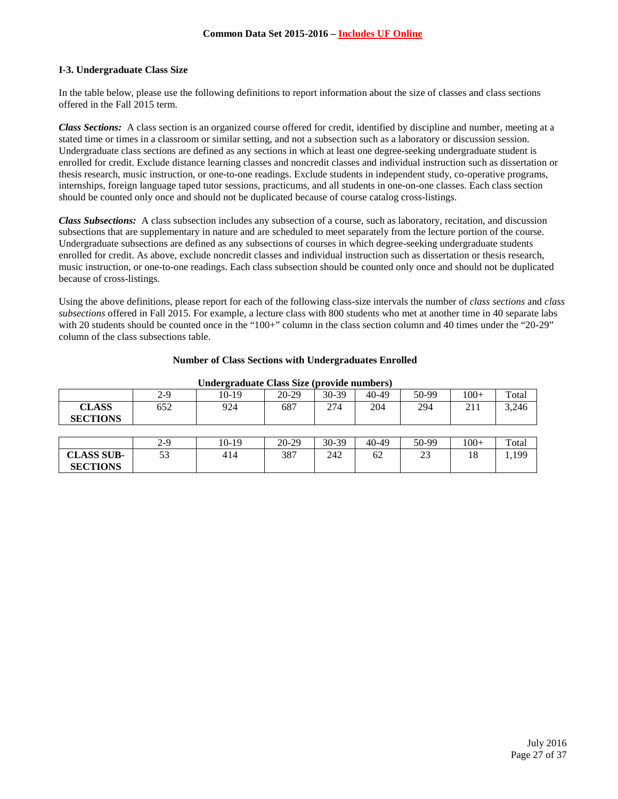## **I-3. Undergraduate Class Size**

In the table below, please use the following definitions to report information about the size of classes and class sections offered in the Fall 2015 term.

*Class Sections:* A class section is an organized course offered for credit, identified by discipline and number, meeting at a stated time or times in a classroom or similar setting, and not a subsection such as a laboratory or discussion session. Undergraduate class sections are defined as any sections in which at least one degree-seeking undergraduate student is enrolled for credit. Exclude distance learning classes and noncredit classes and individual instruction such as dissertation or thesis research, music instruction, or one-to-one readings. Exclude students in independent study, co-operative programs, internships, foreign language taped tutor sessions, practicums, and all students in one-on-one classes. Each class section should be counted only once and should not be duplicated because of course catalog cross-listings.

*Class Subsections:* A class subsection includes any subsection of a course, such as laboratory, recitation, and discussion subsections that are supplementary in nature and are scheduled to meet separately from the lecture portion of the course. Undergraduate subsections are defined as any subsections of courses in which degree-seeking undergraduate students enrolled for credit. As above, exclude noncredit classes and individual instruction such as dissertation or thesis research, music instruction, or one-to-one readings. Each class subsection should be counted only once and should not be duplicated because of cross-listings.

Using the above definitions, please report for each of the following class-size intervals the number of *class sections* and *class subsections* offered in Fall 2015. For example, a lecture class with 800 students who met at another time in 40 separate labs with 20 students should be counted once in the "100+" column in the class section column and 40 times under the "20-29" column of the class subsections table.

| Undergraduate Class Size (provide numbers) |       |         |         |         |           |       |        |       |
|--------------------------------------------|-------|---------|---------|---------|-----------|-------|--------|-------|
|                                            | $2-9$ | $10-19$ | $20-29$ | $30-39$ | 40-49     | 50-99 | $100+$ | Total |
| <b>CLASS</b><br><b>SECTIONS</b>            | 652   | 924     | 687     | 274     | 204       | 294   | 211    | 3,246 |
|                                            |       |         |         |         |           |       |        |       |
|                                            | $2-9$ | 10-19   | $20-29$ | 30-39   | $40 - 49$ | 50-99 | $100+$ | Total |
| <b>CLASS SUB-</b>                          | 53    | 414     | 387     | 242     | 62        | 23    | 18     | 1,199 |
| <b>SECTIONS</b>                            |       |         |         |         |           |       |        |       |

#### **Number of Class Sections with Undergraduates Enrolled**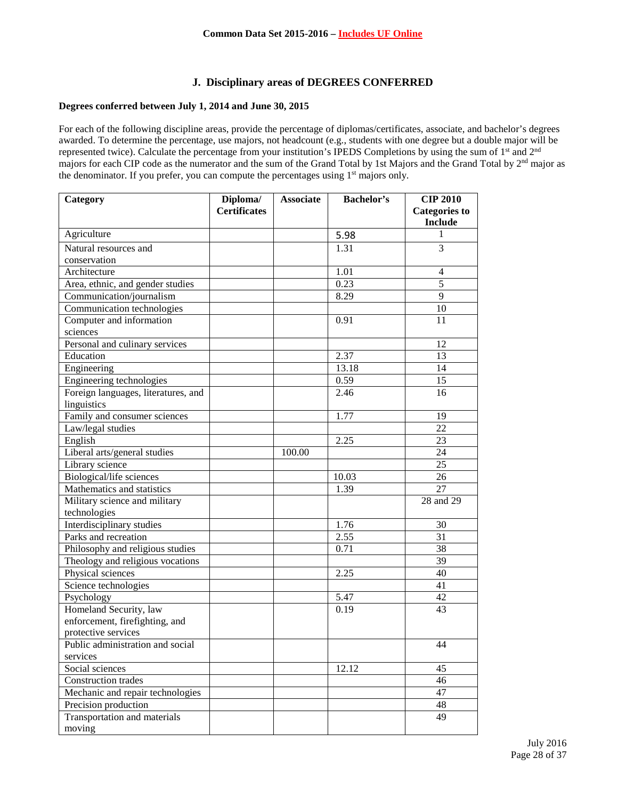## **J. Disciplinary areas of DEGREES CONFERRED**

## **Degrees conferred between July 1, 2014 and June 30, 2015**

For each of the following discipline areas, provide the percentage of diplomas/certificates, associate, and bachelor's degrees awarded. To determine the percentage, use majors, not headcount (e.g., students with one degree but a double major will be represented twice). Calculate the percentage from your institution's IPEDS Completions by using the sum of 1<sup>st</sup> and 2<sup>nd</sup> majors for each CIP code as the numerator and the sum of the Grand Total by 1st Majors and the Grand Total by 2nd major as the denominator. If you prefer, you can compute the percentages using 1<sup>st</sup> majors only.

| Category                            | Diploma/            | <b>Associate</b> | Bachelor's | <b>CIP 2010</b>      |
|-------------------------------------|---------------------|------------------|------------|----------------------|
|                                     | <b>Certificates</b> |                  |            | <b>Categories to</b> |
|                                     |                     |                  |            | <b>Include</b>       |
| Agriculture                         |                     |                  | 5.98       | 1                    |
| Natural resources and               |                     |                  | 1.31       | 3                    |
| conservation                        |                     |                  |            |                      |
| Architecture                        |                     |                  | 1.01       | $\overline{4}$       |
| Area, ethnic, and gender studies    |                     |                  | 0.23       | $\overline{5}$       |
| Communication/journalism            |                     |                  | 8.29       | $\overline{9}$       |
| Communication technologies          |                     |                  |            | 10                   |
| Computer and information            |                     |                  | 0.91       | 11                   |
| sciences                            |                     |                  |            |                      |
| Personal and culinary services      |                     |                  |            | 12                   |
| Education                           |                     |                  | 2.37       | 13                   |
| Engineering                         |                     |                  | 13.18      | 14                   |
| Engineering technologies            |                     |                  | 0.59       | 15                   |
| Foreign languages, literatures, and |                     |                  | 2.46       | 16                   |
| linguistics                         |                     |                  |            |                      |
| Family and consumer sciences        |                     |                  | 1.77       | 19                   |
| Law/legal studies                   |                     |                  |            | 22                   |
| English                             |                     |                  | 2.25       | 23                   |
| Liberal arts/general studies        |                     | 100.00           |            | 24                   |
| Library science                     |                     |                  |            | 25                   |
| Biological/life sciences            |                     |                  | 10.03      | 26                   |
| Mathematics and statistics          |                     |                  | 1.39       | 27                   |
| Military science and military       |                     |                  |            | 28 and 29            |
| technologies                        |                     |                  |            |                      |
| Interdisciplinary studies           |                     |                  | 1.76       | 30                   |
| Parks and recreation                |                     |                  | 2.55       | 31                   |
| Philosophy and religious studies    |                     |                  | 0.71       | 38                   |
| Theology and religious vocations    |                     |                  |            | 39                   |
| Physical sciences                   |                     |                  | 2.25       | 40                   |
| Science technologies                |                     |                  |            | 41                   |
| Psychology                          |                     |                  | 5.47       | 42                   |
| Homeland Security, law              |                     |                  | 0.19       | 43                   |
| enforcement, firefighting, and      |                     |                  |            |                      |
| protective services                 |                     |                  |            |                      |
| Public administration and social    |                     |                  |            | 44                   |
| services                            |                     |                  |            |                      |
| Social sciences                     |                     |                  | 12.12      | 45                   |
| Construction trades                 |                     |                  |            | 46                   |
| Mechanic and repair technologies    |                     |                  |            | 47                   |
| Precision production                |                     |                  |            | 48                   |
| Transportation and materials        |                     |                  |            | 49                   |
| moving                              |                     |                  |            |                      |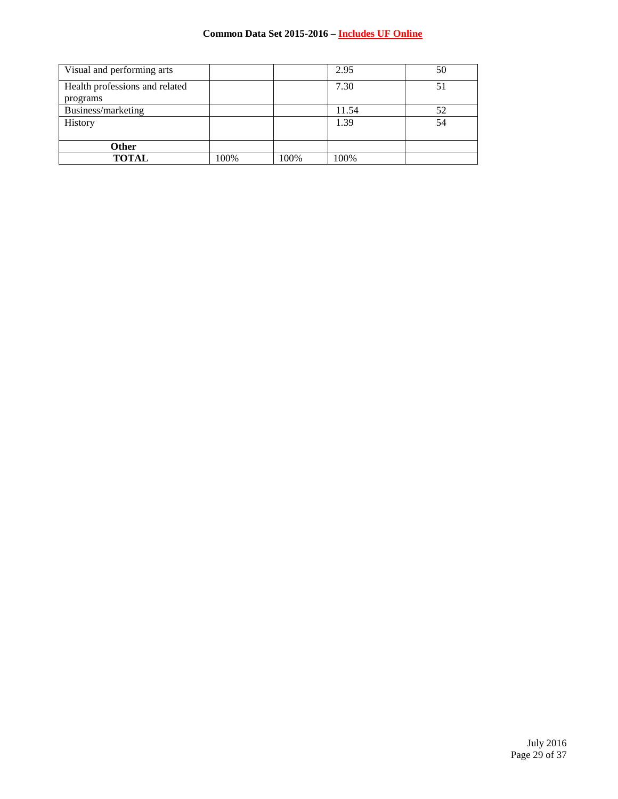| Visual and performing arts     |      |      | 2.95  | 50 |
|--------------------------------|------|------|-------|----|
| Health professions and related |      |      | 7.30  | 51 |
| programs                       |      |      |       |    |
| Business/marketing             |      |      | 11.54 | 52 |
| History                        |      |      | 1.39  | 54 |
|                                |      |      |       |    |
| Other                          |      |      |       |    |
| <b>TOTAL</b>                   | 100% | 100% | 100%  |    |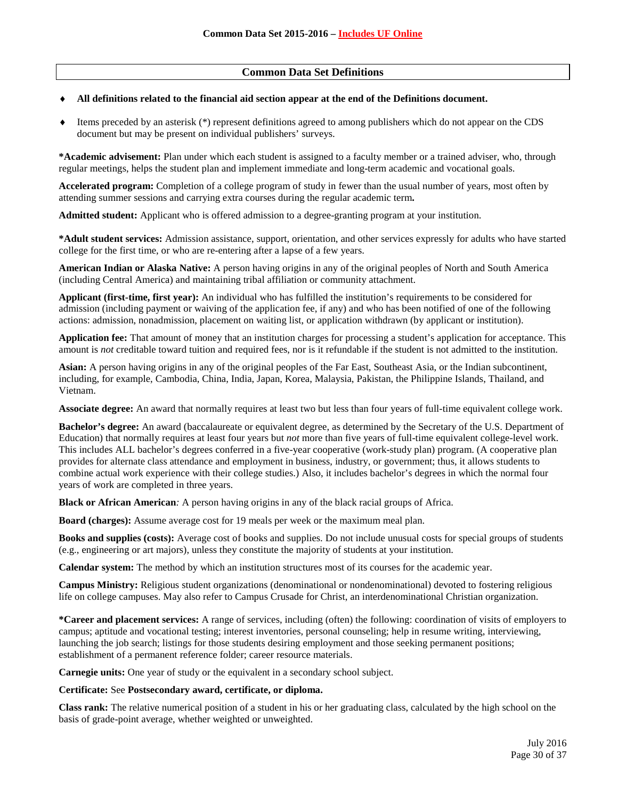## **Common Data Set Definitions**

### All definitions related to the financial aid section appear at the end of the Definitions document.

♦ Items preceded by an asterisk (\*) represent definitions agreed to among publishers which do not appear on the CDS document but may be present on individual publishers' surveys.

**\*Academic advisement:** Plan under which each student is assigned to a faculty member or a trained adviser, who, through regular meetings, helps the student plan and implement immediate and long-term academic and vocational goals.

**Accelerated program:** Completion of a college program of study in fewer than the usual number of years, most often by attending summer sessions and carrying extra courses during the regular academic term**.**

**Admitted student:** Applicant who is offered admission to a degree-granting program at your institution.

**\*Adult student services:** Admission assistance, support, orientation, and other services expressly for adults who have started college for the first time, or who are re-entering after a lapse of a few years.

**American Indian or Alaska Native:** A person having origins in any of the original peoples of North and South America (including Central America) and maintaining tribal affiliation or community attachment.

**Applicant (first-time, first year):** An individual who has fulfilled the institution's requirements to be considered for admission (including payment or waiving of the application fee, if any) and who has been notified of one of the following actions: admission, nonadmission, placement on waiting list, or application withdrawn (by applicant or institution).

**Application fee:** That amount of money that an institution charges for processing a student's application for acceptance. This amount is *not* creditable toward tuition and required fees, nor is it refundable if the student is not admitted to the institution.

**Asian:** A person having origins in any of the original peoples of the Far East, Southeast Asia, or the Indian subcontinent, including, for example, Cambodia, China, India, Japan, Korea, Malaysia, Pakistan, the Philippine Islands, Thailand, and Vietnam.

**Associate degree:** An award that normally requires at least two but less than four years of full-time equivalent college work.

**Bachelor's degree:** An award (baccalaureate or equivalent degree, as determined by the Secretary of the U.S. Department of Education) that normally requires at least four years but *not* more than five years of full-time equivalent college-level work. This includes ALL bachelor's degrees conferred in a five-year cooperative (work-study plan) program. (A cooperative plan provides for alternate class attendance and employment in business, industry, or government; thus, it allows students to combine actual work experience with their college studies.) Also, it includes bachelor's degrees in which the normal four years of work are completed in three years.

**Black or African American***:* A person having origins in any of the black racial groups of Africa.

**Board (charges):** Assume average cost for 19 meals per week or the maximum meal plan.

**Books and supplies (costs):** Average cost of books and supplies. Do not include unusual costs for special groups of students (e.g., engineering or art majors), unless they constitute the majority of students at your institution.

**Calendar system:** The method by which an institution structures most of its courses for the academic year.

**Campus Ministry:** Religious student organizations (denominational or nondenominational) devoted to fostering religious life on college campuses. May also refer to Campus Crusade for Christ, an interdenominational Christian organization.

**\*Career and placement services:** A range of services, including (often) the following: coordination of visits of employers to campus; aptitude and vocational testing; interest inventories, personal counseling; help in resume writing, interviewing, launching the job search; listings for those students desiring employment and those seeking permanent positions; establishment of a permanent reference folder; career resource materials.

**Carnegie units:** One year of study or the equivalent in a secondary school subject.

### **Certificate:** See **Postsecondary award, certificate, or diploma.**

**Class rank:** The relative numerical position of a student in his or her graduating class, calculated by the high school on the basis of grade-point average, whether weighted or unweighted.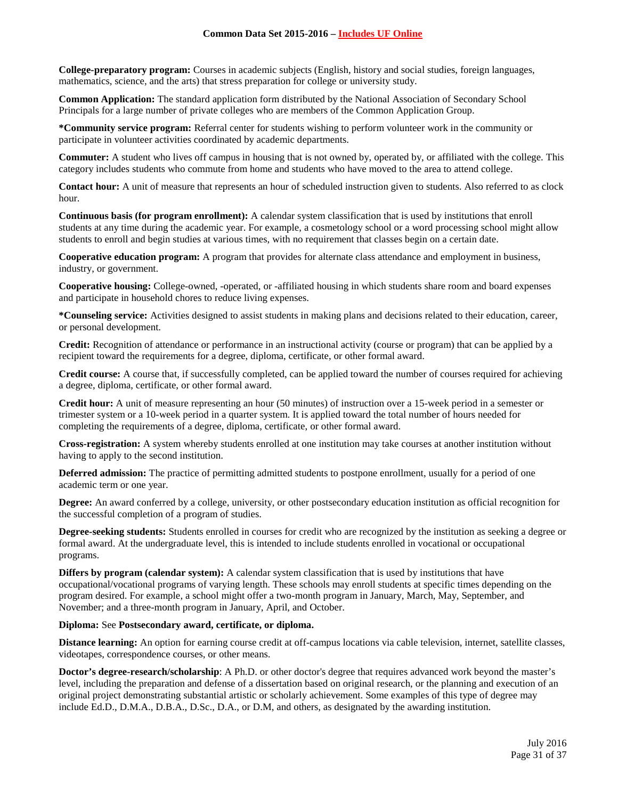**College-preparatory program:** Courses in academic subjects (English, history and social studies, foreign languages, mathematics, science, and the arts) that stress preparation for college or university study.

**Common Application:** The standard application form distributed by the National Association of Secondary School Principals for a large number of private colleges who are members of the Common Application Group.

**\*Community service program:** Referral center for students wishing to perform volunteer work in the community or participate in volunteer activities coordinated by academic departments.

**Commuter:** A student who lives off campus in housing that is not owned by, operated by, or affiliated with the college. This category includes students who commute from home and students who have moved to the area to attend college.

**Contact hour:** A unit of measure that represents an hour of scheduled instruction given to students. Also referred to as clock hour.

**Continuous basis (for program enrollment):** A calendar system classification that is used by institutions that enroll students at any time during the academic year. For example, a cosmetology school or a word processing school might allow students to enroll and begin studies at various times, with no requirement that classes begin on a certain date.

**Cooperative education program:** A program that provides for alternate class attendance and employment in business, industry, or government.

**Cooperative housing:** College-owned, -operated, or -affiliated housing in which students share room and board expenses and participate in household chores to reduce living expenses.

**\*Counseling service:** Activities designed to assist students in making plans and decisions related to their education, career, or personal development.

**Credit:** Recognition of attendance or performance in an instructional activity (course or program) that can be applied by a recipient toward the requirements for a degree, diploma, certificate, or other formal award.

**Credit course:** A course that, if successfully completed, can be applied toward the number of courses required for achieving a degree, diploma, certificate, or other formal award.

**Credit hour:** A unit of measure representing an hour (50 minutes) of instruction over a 15-week period in a semester or trimester system or a 10-week period in a quarter system. It is applied toward the total number of hours needed for completing the requirements of a degree, diploma, certificate, or other formal award.

**Cross-registration:** A system whereby students enrolled at one institution may take courses at another institution without having to apply to the second institution.

**Deferred admission:** The practice of permitting admitted students to postpone enrollment, usually for a period of one academic term or one year.

**Degree:** An award conferred by a college, university, or other postsecondary education institution as official recognition for the successful completion of a program of studies.

**Degree-seeking students:** Students enrolled in courses for credit who are recognized by the institution as seeking a degree or formal award. At the undergraduate level, this is intended to include students enrolled in vocational or occupational programs.

**Differs by program (calendar system):** A calendar system classification that is used by institutions that have occupational/vocational programs of varying length. These schools may enroll students at specific times depending on the program desired. For example, a school might offer a two-month program in January, March, May, September, and November; and a three-month program in January, April, and October.

### **Diploma:** See **Postsecondary award, certificate, or diploma.**

**Distance learning:** An option for earning course credit at off-campus locations via cable television, internet, satellite classes, videotapes, correspondence courses, or other means.

**Doctor's degree-research/scholarship**: A Ph.D. or other doctor's degree that requires advanced work beyond the master's level, including the preparation and defense of a dissertation based on original research, or the planning and execution of an original project demonstrating substantial artistic or scholarly achievement. Some examples of this type of degree may include Ed.D., D.M.A., D.B.A., D.Sc., D.A., or D.M, and others, as designated by the awarding institution.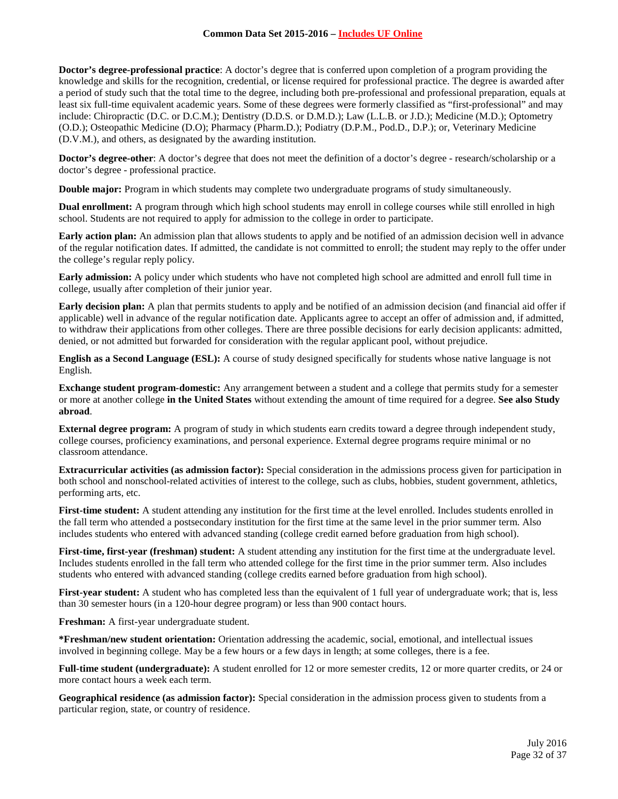**Doctor's degree-professional practice**: A doctor's degree that is conferred upon completion of a program providing the knowledge and skills for the recognition, credential, or license required for professional practice. The degree is awarded after a period of study such that the total time to the degree, including both pre-professional and professional preparation, equals at least six full-time equivalent academic years. Some of these degrees were formerly classified as "first-professional" and may include: Chiropractic (D.C. or D.C.M.); Dentistry (D.D.S. or D.M.D.); Law (L.L.B. or J.D.); Medicine (M.D.); Optometry (O.D.); Osteopathic Medicine (D.O); Pharmacy (Pharm.D.); Podiatry (D.P.M., Pod.D., D.P.); or, Veterinary Medicine (D.V.M.), and others, as designated by the awarding institution.

**Doctor's degree-other**: A doctor's degree that does not meet the definition of a doctor's degree - research/scholarship or a doctor's degree - professional practice.

**Double major:** Program in which students may complete two undergraduate programs of study simultaneously.

**Dual enrollment:** A program through which high school students may enroll in college courses while still enrolled in high school. Students are not required to apply for admission to the college in order to participate.

**Early action plan:** An admission plan that allows students to apply and be notified of an admission decision well in advance of the regular notification dates. If admitted, the candidate is not committed to enroll; the student may reply to the offer under the college's regular reply policy.

**Early admission:** A policy under which students who have not completed high school are admitted and enroll full time in college, usually after completion of their junior year.

**Early decision plan:** A plan that permits students to apply and be notified of an admission decision (and financial aid offer if applicable) well in advance of the regular notification date. Applicants agree to accept an offer of admission and, if admitted, to withdraw their applications from other colleges. There are three possible decisions for early decision applicants: admitted, denied, or not admitted but forwarded for consideration with the regular applicant pool, without prejudice.

**English as a Second Language (ESL):** A course of study designed specifically for students whose native language is not English.

**Exchange student program-domestic:** Any arrangement between a student and a college that permits study for a semester or more at another college **in the United States** without extending the amount of time required for a degree. **See also Study abroad**.

**External degree program:** A program of study in which students earn credits toward a degree through independent study, college courses, proficiency examinations, and personal experience. External degree programs require minimal or no classroom attendance.

**Extracurricular activities (as admission factor):** Special consideration in the admissions process given for participation in both school and nonschool-related activities of interest to the college, such as clubs, hobbies, student government, athletics, performing arts, etc.

First-time student: A student attending any institution for the first time at the level enrolled. Includes students enrolled in the fall term who attended a postsecondary institution for the first time at the same level in the prior summer term. Also includes students who entered with advanced standing (college credit earned before graduation from high school).

**First-time, first-year (freshman) student:** A student attending any institution for the first time at the undergraduate level. Includes students enrolled in the fall term who attended college for the first time in the prior summer term. Also includes students who entered with advanced standing (college credits earned before graduation from high school).

**First-year student:** A student who has completed less than the equivalent of 1 full year of undergraduate work; that is, less than 30 semester hours (in a 120-hour degree program) or less than 900 contact hours.

**Freshman:** A first-year undergraduate student.

**\*Freshman/new student orientation:** Orientation addressing the academic, social, emotional, and intellectual issues involved in beginning college. May be a few hours or a few days in length; at some colleges, there is a fee.

**Full-time student (undergraduate):** A student enrolled for 12 or more semester credits, 12 or more quarter credits, or 24 or more contact hours a week each term.

**Geographical residence (as admission factor):** Special consideration in the admission process given to students from a particular region, state, or country of residence.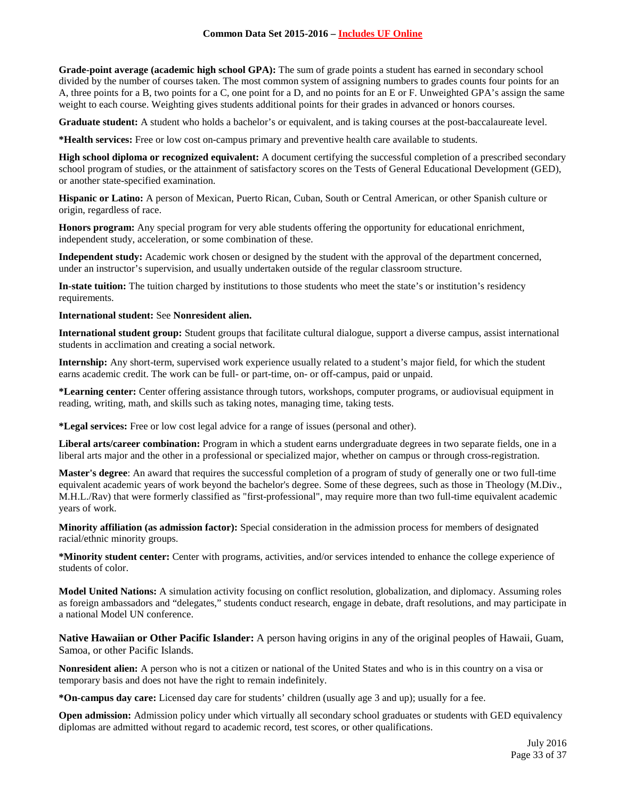**Grade-point average (academic high school GPA):** The sum of grade points a student has earned in secondary school divided by the number of courses taken. The most common system of assigning numbers to grades counts four points for an A, three points for a B, two points for a C, one point for a D, and no points for an E or F. Unweighted GPA's assign the same weight to each course. Weighting gives students additional points for their grades in advanced or honors courses.

**Graduate student:** A student who holds a bachelor's or equivalent, and is taking courses at the post-baccalaureate level.

**\*Health services:** Free or low cost on-campus primary and preventive health care available to students.

**High school diploma or recognized equivalent:** A document certifying the successful completion of a prescribed secondary school program of studies, or the attainment of satisfactory scores on the Tests of General Educational Development (GED), or another state-specified examination.

**Hispanic or Latino:** A person of Mexican, Puerto Rican, Cuban, South or Central American, or other Spanish culture or origin, regardless of race.

**Honors program:** Any special program for very able students offering the opportunity for educational enrichment, independent study, acceleration, or some combination of these.

**Independent study:** Academic work chosen or designed by the student with the approval of the department concerned, under an instructor's supervision, and usually undertaken outside of the regular classroom structure.

**In-state tuition:** The tuition charged by institutions to those students who meet the state's or institution's residency requirements.

**International student:** See **Nonresident alien.**

**International student group:** Student groups that facilitate cultural dialogue, support a diverse campus, assist international students in acclimation and creating a social network.

**Internship:** Any short-term, supervised work experience usually related to a student's major field, for which the student earns academic credit. The work can be full- or part-time, on- or off-campus, paid or unpaid.

**\*Learning center:** Center offering assistance through tutors, workshops, computer programs, or audiovisual equipment in reading, writing, math, and skills such as taking notes, managing time, taking tests.

**\*Legal services:** Free or low cost legal advice for a range of issues (personal and other).

**Liberal arts/career combination:** Program in which a student earns undergraduate degrees in two separate fields, one in a liberal arts major and the other in a professional or specialized major, whether on campus or through cross-registration.

**Master's degree**: An award that requires the successful completion of a program of study of generally one or two full-time equivalent academic years of work beyond the bachelor's degree. Some of these degrees, such as those in Theology (M.Div., M.H.L./Rav) that were formerly classified as "first-professional", may require more than two full-time equivalent academic years of work.

**Minority affiliation (as admission factor):** Special consideration in the admission process for members of designated racial/ethnic minority groups.

**\*Minority student center:** Center with programs, activities, and/or services intended to enhance the college experience of students of color.

**Model United Nations:** A simulation activity focusing on conflict resolution, globalization, and diplomacy. Assuming roles as foreign ambassadors and "delegates," students conduct research, engage in debate, draft resolutions, and may participate in a national Model UN conference.

**Native Hawaiian or Other Pacific Islander:** A person having origins in any of the original peoples of Hawaii, Guam, Samoa, or other Pacific Islands.

**Nonresident alien:** A person who is not a citizen or national of the United States and who is in this country on a visa or temporary basis and does not have the right to remain indefinitely.

**\*On-campus day care:** Licensed day care for students' children (usually age 3 and up); usually for a fee.

**Open admission:** Admission policy under which virtually all secondary school graduates or students with GED equivalency diplomas are admitted without regard to academic record, test scores, or other qualifications.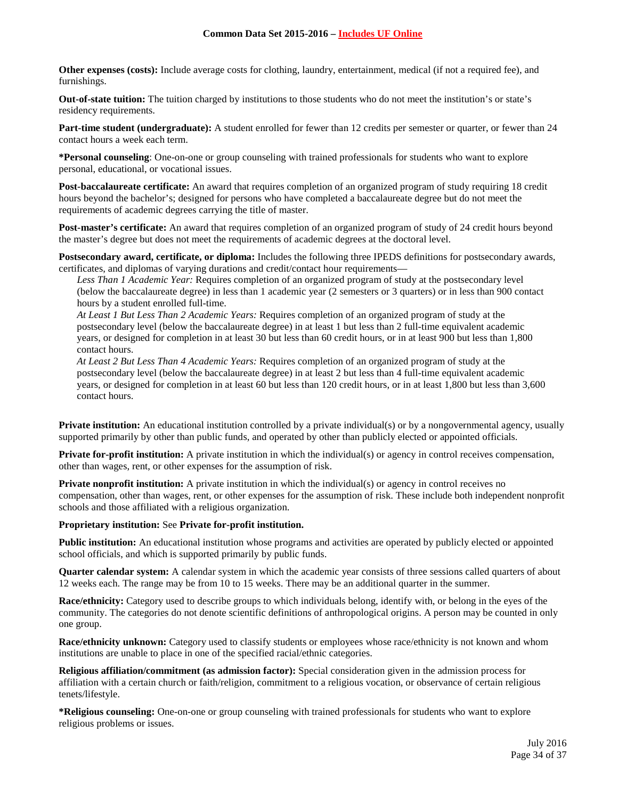**Other expenses (costs):** Include average costs for clothing, laundry, entertainment, medical (if not a required fee), and furnishings.

**Out-of-state tuition:** The tuition charged by institutions to those students who do not meet the institution's or state's residency requirements.

**Part-time student (undergraduate):** A student enrolled for fewer than 12 credits per semester or quarter, or fewer than 24 contact hours a week each term.

**\*Personal counseling**: One-on-one or group counseling with trained professionals for students who want to explore personal, educational, or vocational issues.

**Post-baccalaureate certificate:** An award that requires completion of an organized program of study requiring 18 credit hours beyond the bachelor's; designed for persons who have completed a baccalaureate degree but do not meet the requirements of academic degrees carrying the title of master.

**Post-master's certificate:** An award that requires completion of an organized program of study of 24 credit hours beyond the master's degree but does not meet the requirements of academic degrees at the doctoral level.

**Postsecondary award, certificate, or diploma:** Includes the following three IPEDS definitions for postsecondary awards, certificates, and diplomas of varying durations and credit/contact hour requirements—

*Less Than 1 Academic Year:* Requires completion of an organized program of study at the postsecondary level (below the baccalaureate degree) in less than 1 academic year (2 semesters or 3 quarters) or in less than 900 contact hours by a student enrolled full-time.

*At Least 1 But Less Than 2 Academic Years:* Requires completion of an organized program of study at the postsecondary level (below the baccalaureate degree) in at least 1 but less than 2 full-time equivalent academic years, or designed for completion in at least 30 but less than 60 credit hours, or in at least 900 but less than 1,800 contact hours.

*At Least 2 But Less Than 4 Academic Years:* Requires completion of an organized program of study at the postsecondary level (below the baccalaureate degree) in at least 2 but less than 4 full-time equivalent academic years, or designed for completion in at least 60 but less than 120 credit hours, or in at least 1,800 but less than 3,600 contact hours.

**Private institution:** An educational institution controlled by a private individual(s) or by a nongovernmental agency, usually supported primarily by other than public funds, and operated by other than publicly elected or appointed officials.

**Private for-profit institution:** A private institution in which the individual(s) or agency in control receives compensation, other than wages, rent, or other expenses for the assumption of risk.

**Private nonprofit institution:** A private institution in which the individual(s) or agency in control receives no compensation, other than wages, rent, or other expenses for the assumption of risk. These include both independent nonprofit schools and those affiliated with a religious organization.

### **Proprietary institution:** See **Private for-profit institution.**

**Public institution:** An educational institution whose programs and activities are operated by publicly elected or appointed school officials, and which is supported primarily by public funds.

**Quarter calendar system:** A calendar system in which the academic year consists of three sessions called quarters of about 12 weeks each. The range may be from 10 to 15 weeks. There may be an additional quarter in the summer.

**Race/ethnicity:** Category used to describe groups to which individuals belong, identify with, or belong in the eyes of the community. The categories do not denote scientific definitions of anthropological origins. A person may be counted in only one group.

**Race/ethnicity unknown:** Category used to classify students or employees whose race/ethnicity is not known and whom institutions are unable to place in one of the specified racial/ethnic categories.

**Religious affiliation/commitment (as admission factor):** Special consideration given in the admission process for affiliation with a certain church or faith/religion, commitment to a religious vocation, or observance of certain religious tenets/lifestyle.

**\*Religious counseling:** One-on-one or group counseling with trained professionals for students who want to explore religious problems or issues.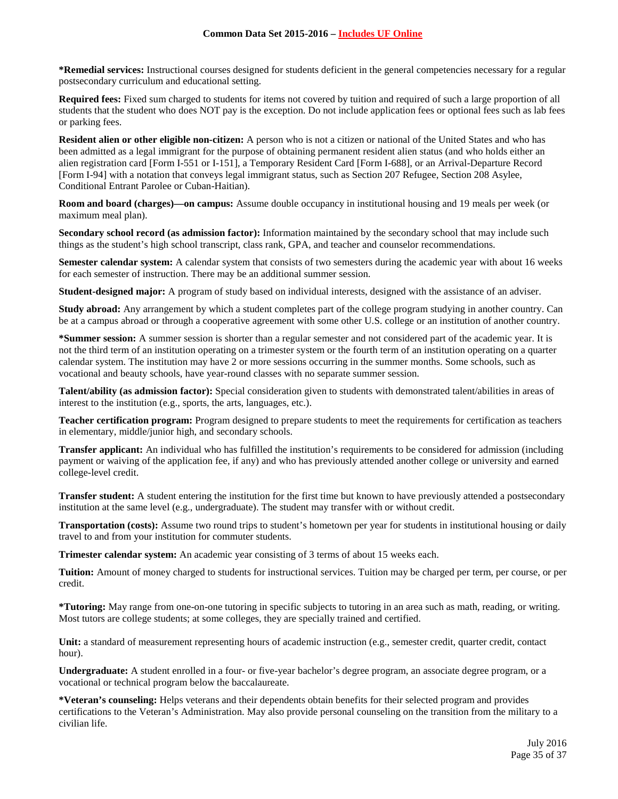**\*Remedial services:** Instructional courses designed for students deficient in the general competencies necessary for a regular postsecondary curriculum and educational setting.

**Required fees:** Fixed sum charged to students for items not covered by tuition and required of such a large proportion of all students that the student who does NOT pay is the exception. Do not include application fees or optional fees such as lab fees or parking fees.

**Resident alien or other eligible non-citizen:** A person who is not a citizen or national of the United States and who has been admitted as a legal immigrant for the purpose of obtaining permanent resident alien status (and who holds either an alien registration card [Form I-551 or I-151], a Temporary Resident Card [Form I-688], or an Arrival-Departure Record [Form I-94] with a notation that conveys legal immigrant status, such as Section 207 Refugee, Section 208 Asylee, Conditional Entrant Parolee or Cuban-Haitian).

**Room and board (charges)—on campus:** Assume double occupancy in institutional housing and 19 meals per week (or maximum meal plan).

**Secondary school record (as admission factor):** Information maintained by the secondary school that may include such things as the student's high school transcript, class rank, GPA, and teacher and counselor recommendations.

**Semester calendar system:** A calendar system that consists of two semesters during the academic year with about 16 weeks for each semester of instruction. There may be an additional summer session.

**Student-designed major:** A program of study based on individual interests, designed with the assistance of an adviser.

**Study abroad:** Any arrangement by which a student completes part of the college program studying in another country. Can be at a campus abroad or through a cooperative agreement with some other U.S. college or an institution of another country.

**\*Summer session:** A summer session is shorter than a regular semester and not considered part of the academic year. It is not the third term of an institution operating on a trimester system or the fourth term of an institution operating on a quarter calendar system. The institution may have 2 or more sessions occurring in the summer months. Some schools, such as vocational and beauty schools, have year-round classes with no separate summer session.

**Talent/ability (as admission factor):** Special consideration given to students with demonstrated talent/abilities in areas of interest to the institution (e.g., sports, the arts, languages, etc.).

**Teacher certification program:** Program designed to prepare students to meet the requirements for certification as teachers in elementary, middle/junior high, and secondary schools.

**Transfer applicant:** An individual who has fulfilled the institution's requirements to be considered for admission (including payment or waiving of the application fee, if any) and who has previously attended another college or university and earned college-level credit.

**Transfer student:** A student entering the institution for the first time but known to have previously attended a postsecondary institution at the same level (e.g., undergraduate). The student may transfer with or without credit.

**Transportation (costs):** Assume two round trips to student's hometown per year for students in institutional housing or daily travel to and from your institution for commuter students.

**Trimester calendar system:** An academic year consisting of 3 terms of about 15 weeks each.

**Tuition:** Amount of money charged to students for instructional services. Tuition may be charged per term, per course, or per credit.

**\*Tutoring:** May range from one-on-one tutoring in specific subjects to tutoring in an area such as math, reading, or writing. Most tutors are college students; at some colleges, they are specially trained and certified.

**Unit:** a standard of measurement representing hours of academic instruction (e.g., semester credit, quarter credit, contact hour).

**Undergraduate:** A student enrolled in a four- or five-year bachelor's degree program, an associate degree program, or a vocational or technical program below the baccalaureate.

**\*Veteran's counseling:** Helps veterans and their dependents obtain benefits for their selected program and provides certifications to the Veteran's Administration. May also provide personal counseling on the transition from the military to a civilian life.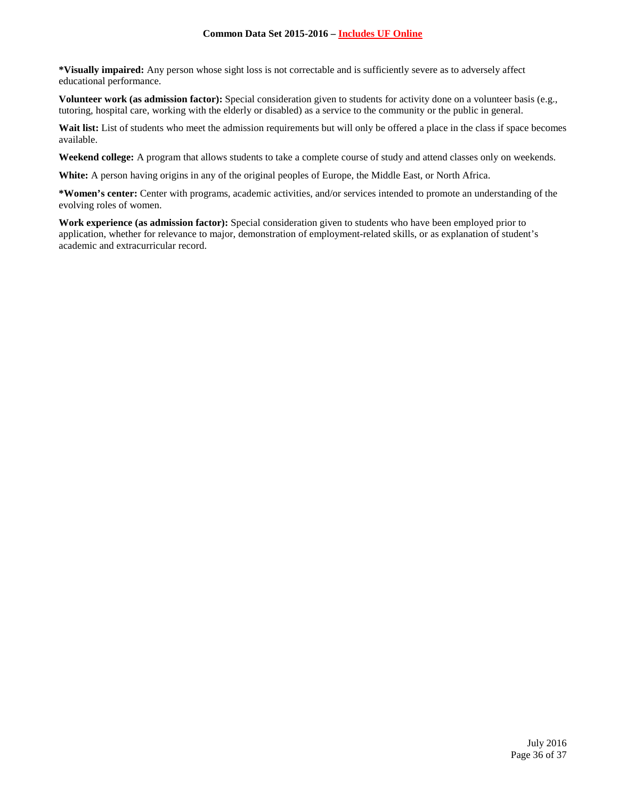**\*Visually impaired:** Any person whose sight loss is not correctable and is sufficiently severe as to adversely affect educational performance.

**Volunteer work (as admission factor):** Special consideration given to students for activity done on a volunteer basis (e.g., tutoring, hospital care, working with the elderly or disabled) as a service to the community or the public in general.

Wait list: List of students who meet the admission requirements but will only be offered a place in the class if space becomes available.

**Weekend college:** A program that allows students to take a complete course of study and attend classes only on weekends.

**White:** A person having origins in any of the original peoples of Europe, the Middle East, or North Africa.

**\*Women's center:** Center with programs, academic activities, and/or services intended to promote an understanding of the evolving roles of women.

**Work experience (as admission factor):** Special consideration given to students who have been employed prior to application, whether for relevance to major, demonstration of employment-related skills, or as explanation of student's academic and extracurricular record.